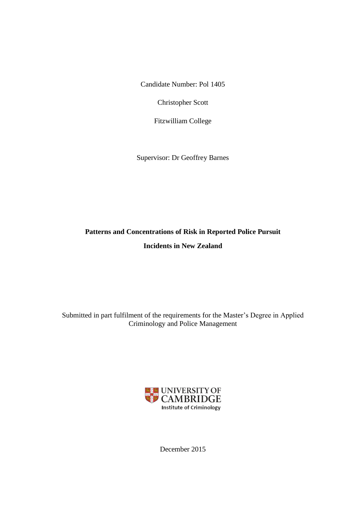Candidate Number: Pol 1405

Christopher Scott

Fitzwilliam College

Supervisor: Dr Geoffrey Barnes

# **Patterns and Concentrations of Risk in Reported Police Pursuit Incidents in New Zealand**

Submitted in part fulfilment of the requirements for the Master's Degree in Applied Criminology and Police Management



December 2015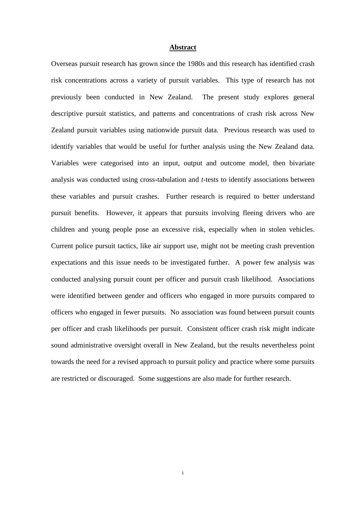#### **Abstract**

Overseas pursuit research has grown since the 1980s and this research has identified crash risk concentrations across a variety of pursuit variables. This type of research has not previously been conducted in New Zealand. The present study explores general descriptive pursuit statistics, and patterns and concentrations of crash risk across New Zealand pursuit variables using nationwide pursuit data. Previous research was used to identify variables that would be useful for further analysis using the New Zealand data. Variables were categorised into an input, output and outcome model, then bivariate analysis was conducted using cross-tabulation and *t*-tests to identify associations between these variables and pursuit crashes. Further research is required to better understand pursuit benefits. However, it appears that pursuits involving fleeing drivers who are children and young people pose an excessive risk, especially when in stolen vehicles. Current police pursuit tactics, like air support use, might not be meeting crash prevention expectations and this issue needs to be investigated further. A power few analysis was conducted analysing pursuit count per officer and pursuit crash likelihood. Associations were identified between gender and officers who engaged in more pursuits compared to officers who engaged in fewer pursuits. No association was found between pursuit counts per officer and crash likelihoods per pursuit. Consistent officer crash risk might indicate sound administrative oversight overall in New Zealand, but the results nevertheless point towards the need for a revised approach to pursuit policy and practice where some pursuits are restricted or discouraged. Some suggestions are also made for further research.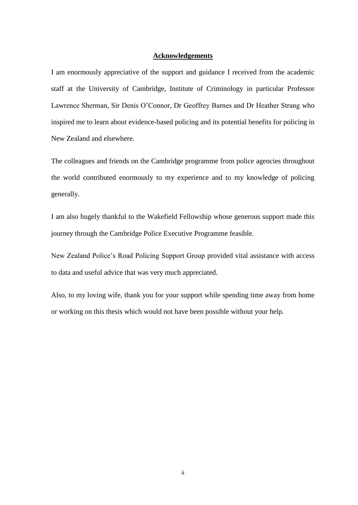#### **Acknowledgements**

I am enormously appreciative of the support and guidance I received from the academic staff at the University of Cambridge, Institute of Criminology in particular Professor Lawrence Sherman, Sir Denis O'Connor, Dr Geoffrey Barnes and Dr Heather Strang who inspired me to learn about evidence-based policing and its potential benefits for policing in New Zealand and elsewhere.

The colleagues and friends on the Cambridge programme from police agencies throughout the world contributed enormously to my experience and to my knowledge of policing generally.

I am also hugely thankful to the Wakefield Fellowship whose generous support made this journey through the Cambridge Police Executive Programme feasible.

New Zealand Police's Road Policing Support Group provided vital assistance with access to data and useful advice that was very much appreciated.

Also, to my loving wife, thank you for your support while spending time away from home or working on this thesis which would not have been possible without your help.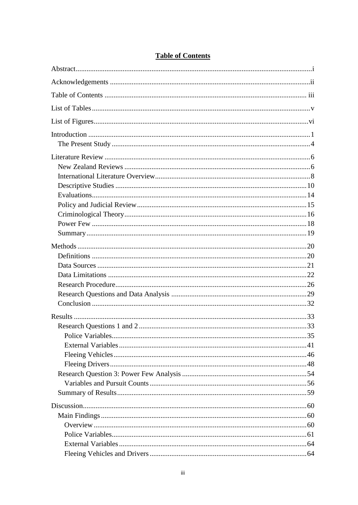### **Table of Contents**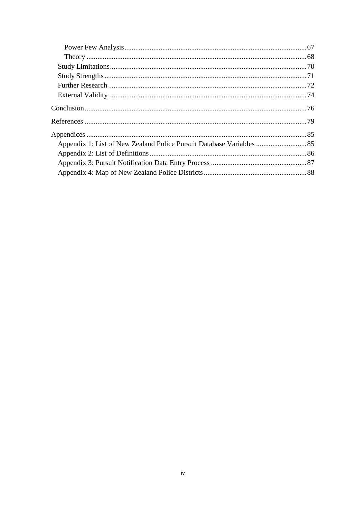| Appendix 1: List of New Zealand Police Pursuit Database Variables  85 |  |
|-----------------------------------------------------------------------|--|
|                                                                       |  |
|                                                                       |  |
|                                                                       |  |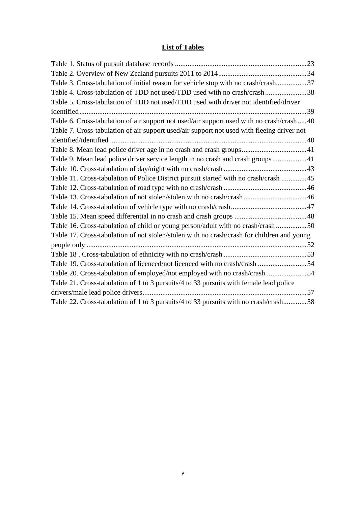# **List of Tables**

| Table 3. Cross-tabulation of initial reason for vehicle stop with no crash/crash37         |  |
|--------------------------------------------------------------------------------------------|--|
| Table 4. Cross-tabulation of TDD not used/TDD used with no crash/crash38                   |  |
| Table 5. Cross-tabulation of TDD not used/TDD used with driver not identified/driver       |  |
|                                                                                            |  |
| Table 6. Cross-tabulation of air support not used/air support used with no crash/crash40   |  |
| Table 7. Cross-tabulation of air support used/air support not used with fleeing driver not |  |
|                                                                                            |  |
| Table 8. Mean lead police driver age in no crash and crash groups41                        |  |
| Table 9. Mean lead police driver service length in no crash and crash groups41             |  |
|                                                                                            |  |
| Table 11. Cross-tabulation of Police District pursuit started with no crash/crash 45       |  |
|                                                                                            |  |
| Table 13. Cross-tabulation of not stolen/stolen with no crash/crash46                      |  |
|                                                                                            |  |
|                                                                                            |  |
| Table 16. Cross-tabulation of child or young person/adult with no crash/crash 50           |  |
| Table 17. Cross-tabulation of not stolen/stolen with no crash/crash for children and young |  |
|                                                                                            |  |
|                                                                                            |  |
| Table 19. Cross-tabulation of licenced/not licenced with no crash/crash 54                 |  |
| Table 20. Cross-tabulation of employed/not employed with no crash/crash 54                 |  |
| Table 21. Cross-tabulation of 1 to 3 pursuits/4 to 33 pursuits with female lead police     |  |
|                                                                                            |  |
| Table 22. Cross-tabulation of 1 to 3 pursuits/4 to 33 pursuits with no crash/crash58       |  |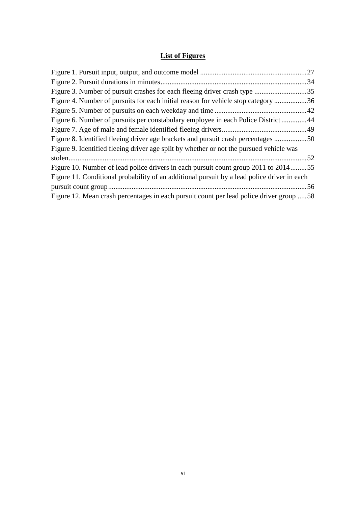## **List of Figures**

|                                                                                             | .27 |
|---------------------------------------------------------------------------------------------|-----|
|                                                                                             | .34 |
|                                                                                             | .35 |
| Figure 4. Number of pursuits for each initial reason for vehicle stop category 36           |     |
|                                                                                             | .42 |
| Figure 6. Number of pursuits per constabulary employee in each Police District44            |     |
|                                                                                             |     |
| Figure 8. Identified fleeing driver age brackets and pursuit crash percentages 50           |     |
| Figure 9. Identified fleeing driver age split by whether or not the pursued vehicle was     |     |
|                                                                                             |     |
| Figure 10. Number of lead police drivers in each pursuit count group 2011 to 201455         |     |
| Figure 11. Conditional probability of an additional pursuit by a lead police driver in each |     |
|                                                                                             |     |
| Figure 12. Mean crash percentages in each pursuit count per lead police driver group 58     |     |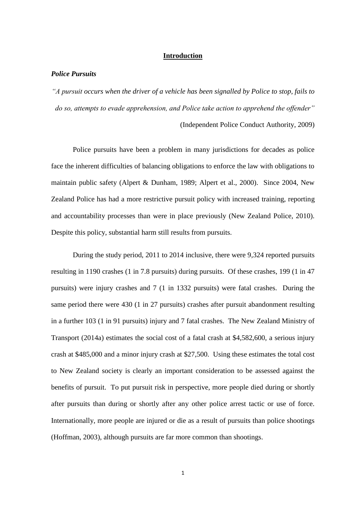#### **Introduction**

#### *Police Pursuits*

*"A pursuit occurs when the driver of a vehicle has been signalled by Police to stop, fails to do so, attempts to evade apprehension, and Police take action to apprehend the offender"*  (Independent Police Conduct Authority, 2009)

Police pursuits have been a problem in many jurisdictions for decades as police face the inherent difficulties of balancing obligations to enforce the law with obligations to maintain public safety (Alpert & Dunham, 1989; Alpert et al., 2000). Since 2004, New Zealand Police has had a more restrictive pursuit policy with increased training, reporting and accountability processes than were in place previously (New Zealand Police, 2010). Despite this policy, substantial harm still results from pursuits.

During the study period, 2011 to 2014 inclusive, there were 9,324 reported pursuits resulting in 1190 crashes (1 in 7.8 pursuits) during pursuits. Of these crashes, 199 (1 in 47 pursuits) were injury crashes and 7 (1 in 1332 pursuits) were fatal crashes. During the same period there were 430 (1 in 27 pursuits) crashes after pursuit abandonment resulting in a further 103 (1 in 91 pursuits) injury and 7 fatal crashes. The New Zealand Ministry of Transport (2014a) estimates the social cost of a fatal crash at \$4,582,600, a serious injury crash at \$485,000 and a minor injury crash at \$27,500. Using these estimates the total cost to New Zealand society is clearly an important consideration to be assessed against the benefits of pursuit. To put pursuit risk in perspective, more people died during or shortly after pursuits than during or shortly after any other police arrest tactic or use of force. Internationally, more people are injured or die as a result of pursuits than police shootings (Hoffman, 2003), although pursuits are far more common than shootings.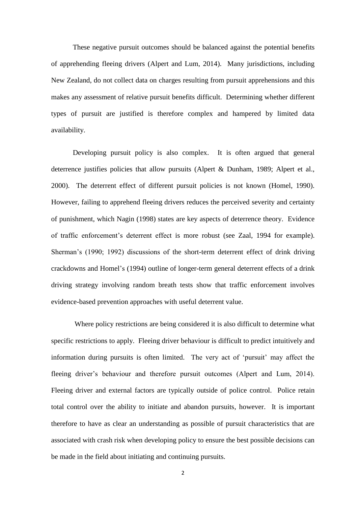These negative pursuit outcomes should be balanced against the potential benefits of apprehending fleeing drivers (Alpert and Lum, 2014). Many jurisdictions, including New Zealand, do not collect data on charges resulting from pursuit apprehensions and this makes any assessment of relative pursuit benefits difficult. Determining whether different types of pursuit are justified is therefore complex and hampered by limited data availability.

Developing pursuit policy is also complex. It is often argued that general deterrence justifies policies that allow pursuits (Alpert & Dunham, 1989; Alpert et al., 2000). The deterrent effect of different pursuit policies is not known (Homel, 1990). However, failing to apprehend fleeing drivers reduces the perceived severity and certainty of punishment, which Nagin (1998) states are key aspects of deterrence theory. Evidence of traffic enforcement's deterrent effect is more robust (see Zaal, 1994 for example). Sherman's (1990; 1992) discussions of the short-term deterrent effect of drink driving crackdowns and Homel's (1994) outline of longer-term general deterrent effects of a drink driving strategy involving random breath tests show that traffic enforcement involves evidence-based prevention approaches with useful deterrent value.

Where policy restrictions are being considered it is also difficult to determine what specific restrictions to apply. Fleeing driver behaviour is difficult to predict intuitively and information during pursuits is often limited. The very act of 'pursuit' may affect the fleeing driver's behaviour and therefore pursuit outcomes (Alpert and Lum, 2014). Fleeing driver and external factors are typically outside of police control. Police retain total control over the ability to initiate and abandon pursuits, however. It is important therefore to have as clear an understanding as possible of pursuit characteristics that are associated with crash risk when developing policy to ensure the best possible decisions can be made in the field about initiating and continuing pursuits.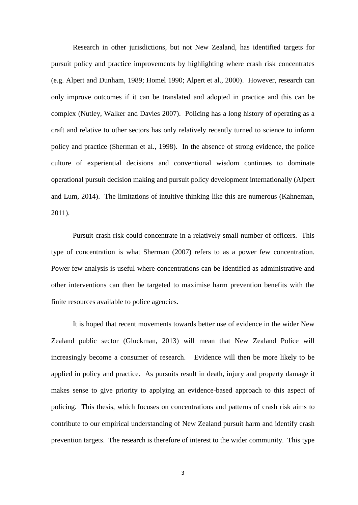Research in other jurisdictions, but not New Zealand, has identified targets for pursuit policy and practice improvements by highlighting where crash risk concentrates (e.g. Alpert and Dunham, 1989; Homel 1990; Alpert et al., 2000). However, research can only improve outcomes if it can be translated and adopted in practice and this can be complex (Nutley, Walker and Davies 2007). Policing has a long history of operating as a craft and relative to other sectors has only relatively recently turned to science to inform policy and practice (Sherman et al., 1998). In the absence of strong evidence, the police culture of experiential decisions and conventional wisdom continues to dominate operational pursuit decision making and pursuit policy development internationally (Alpert and Lum, 2014). The limitations of intuitive thinking like this are numerous (Kahneman, 2011).

Pursuit crash risk could concentrate in a relatively small number of officers. This type of concentration is what Sherman (2007) refers to as a power few concentration. Power few analysis is useful where concentrations can be identified as administrative and other interventions can then be targeted to maximise harm prevention benefits with the finite resources available to police agencies.

It is hoped that recent movements towards better use of evidence in the wider New Zealand public sector (Gluckman, 2013) will mean that New Zealand Police will increasingly become a consumer of research. Evidence will then be more likely to be applied in policy and practice. As pursuits result in death, injury and property damage it makes sense to give priority to applying an evidence-based approach to this aspect of policing. This thesis, which focuses on concentrations and patterns of crash risk aims to contribute to our empirical understanding of New Zealand pursuit harm and identify crash prevention targets. The research is therefore of interest to the wider community. This type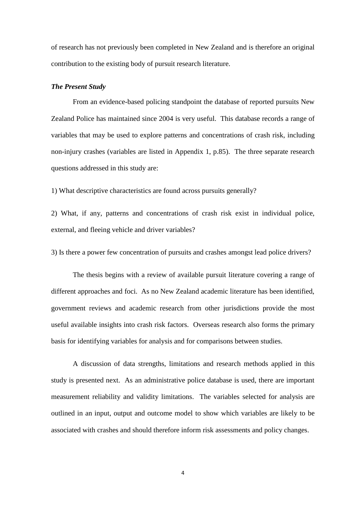of research has not previously been completed in New Zealand and is therefore an original contribution to the existing body of pursuit research literature.

#### *The Present Study*

From an evidence-based policing standpoint the database of reported pursuits New Zealand Police has maintained since 2004 is very useful. This database records a range of variables that may be used to explore patterns and concentrations of crash risk, including non-injury crashes (variables are listed in Appendix 1, p.85). The three separate research questions addressed in this study are:

1) What descriptive characteristics are found across pursuits generally?

2) What, if any, patterns and concentrations of crash risk exist in individual police, external, and fleeing vehicle and driver variables?

3) Is there a power few concentration of pursuits and crashes amongst lead police drivers?

The thesis begins with a review of available pursuit literature covering a range of different approaches and foci. As no New Zealand academic literature has been identified, government reviews and academic research from other jurisdictions provide the most useful available insights into crash risk factors. Overseas research also forms the primary basis for identifying variables for analysis and for comparisons between studies.

A discussion of data strengths, limitations and research methods applied in this study is presented next. As an administrative police database is used, there are important measurement reliability and validity limitations. The variables selected for analysis are outlined in an input, output and outcome model to show which variables are likely to be associated with crashes and should therefore inform risk assessments and policy changes.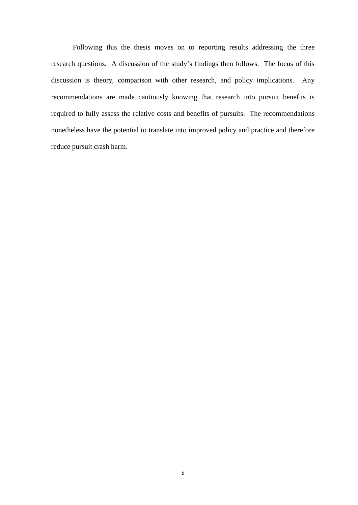Following this the thesis moves on to reporting results addressing the three research questions. A discussion of the study's findings then follows. The focus of this discussion is theory, comparison with other research, and policy implications. Any recommendations are made cautiously knowing that research into pursuit benefits is required to fully assess the relative costs and benefits of pursuits. The recommendations nonetheless have the potential to translate into improved policy and practice and therefore reduce pursuit crash harm.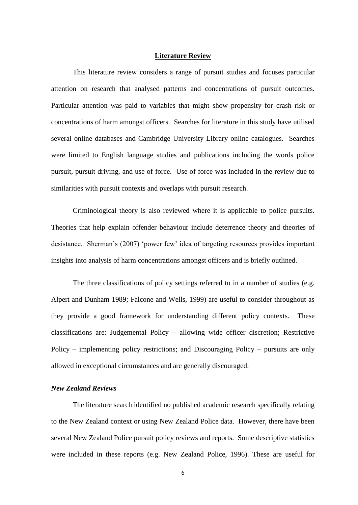#### **Literature Review**

This literature review considers a range of pursuit studies and focuses particular attention on research that analysed patterns and concentrations of pursuit outcomes. Particular attention was paid to variables that might show propensity for crash risk or concentrations of harm amongst officers. Searches for literature in this study have utilised several online databases and Cambridge University Library online catalogues. Searches were limited to English language studies and publications including the words police pursuit, pursuit driving, and use of force. Use of force was included in the review due to similarities with pursuit contexts and overlaps with pursuit research.

Criminological theory is also reviewed where it is applicable to police pursuits. Theories that help explain offender behaviour include deterrence theory and theories of desistance. Sherman's (2007) 'power few' idea of targeting resources provides important insights into analysis of harm concentrations amongst officers and is briefly outlined.

The three classifications of policy settings referred to in a number of studies (e.g. Alpert and Dunham 1989; Falcone and Wells, 1999) are useful to consider throughout as they provide a good framework for understanding different policy contexts. These classifications are: Judgemental Policy – allowing wide officer discretion; Restrictive Policy – implementing policy restrictions; and Discouraging Policy – pursuits are only allowed in exceptional circumstances and are generally discouraged.

#### *New Zealand Reviews*

The literature search identified no published academic research specifically relating to the New Zealand context or using New Zealand Police data. However, there have been several New Zealand Police pursuit policy reviews and reports. Some descriptive statistics were included in these reports (e.g. New Zealand Police, 1996). These are useful for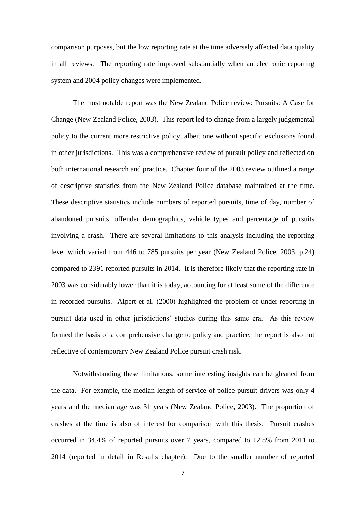comparison purposes, but the low reporting rate at the time adversely affected data quality in all reviews. The reporting rate improved substantially when an electronic reporting system and 2004 policy changes were implemented.

The most notable report was the New Zealand Police review: Pursuits: A Case for Change (New Zealand Police, 2003). This report led to change from a largely judgemental policy to the current more restrictive policy, albeit one without specific exclusions found in other jurisdictions. This was a comprehensive review of pursuit policy and reflected on both international research and practice. Chapter four of the 2003 review outlined a range of descriptive statistics from the New Zealand Police database maintained at the time. These descriptive statistics include numbers of reported pursuits, time of day, number of abandoned pursuits, offender demographics, vehicle types and percentage of pursuits involving a crash. There are several limitations to this analysis including the reporting level which varied from 446 to 785 pursuits per year (New Zealand Police, 2003, p.24) compared to 2391 reported pursuits in 2014. It is therefore likely that the reporting rate in 2003 was considerably lower than it is today, accounting for at least some of the difference in recorded pursuits. Alpert et al. (2000) highlighted the problem of under-reporting in pursuit data used in other jurisdictions' studies during this same era. As this review formed the basis of a comprehensive change to policy and practice, the report is also not reflective of contemporary New Zealand Police pursuit crash risk.

Notwithstanding these limitations, some interesting insights can be gleaned from the data. For example, the median length of service of police pursuit drivers was only 4 years and the median age was 31 years (New Zealand Police, 2003). The proportion of crashes at the time is also of interest for comparison with this thesis. Pursuit crashes occurred in 34.4% of reported pursuits over 7 years, compared to 12.8% from 2011 to 2014 (reported in detail in Results chapter). Due to the smaller number of reported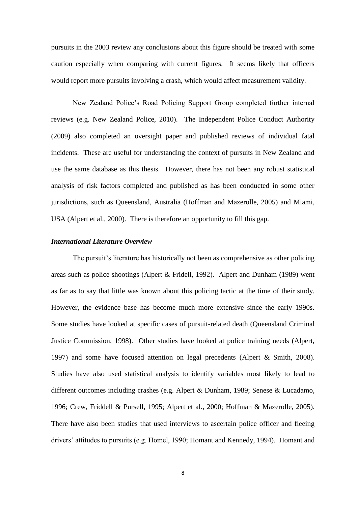pursuits in the 2003 review any conclusions about this figure should be treated with some caution especially when comparing with current figures. It seems likely that officers would report more pursuits involving a crash, which would affect measurement validity.

New Zealand Police's Road Policing Support Group completed further internal reviews (e.g. New Zealand Police, 2010). The Independent Police Conduct Authority (2009) also completed an oversight paper and published reviews of individual fatal incidents. These are useful for understanding the context of pursuits in New Zealand and use the same database as this thesis. However, there has not been any robust statistical analysis of risk factors completed and published as has been conducted in some other jurisdictions, such as Queensland, Australia (Hoffman and Mazerolle, 2005) and Miami, USA (Alpert et al., 2000). There is therefore an opportunity to fill this gap.

#### *International Literature Overview*

The pursuit's literature has historically not been as comprehensive as other policing areas such as police shootings (Alpert & Fridell, 1992). Alpert and Dunham (1989) went as far as to say that little was known about this policing tactic at the time of their study. However, the evidence base has become much more extensive since the early 1990s. Some studies have looked at specific cases of pursuit-related death (Queensland Criminal Justice Commission, 1998). Other studies have looked at police training needs (Alpert, 1997) and some have focused attention on legal precedents (Alpert & Smith, 2008). Studies have also used statistical analysis to identify variables most likely to lead to different outcomes including crashes (e.g. Alpert & Dunham, 1989; Senese & Lucadamo, 1996; Crew, Friddell & Pursell, 1995; Alpert et al., 2000; Hoffman & Mazerolle, 2005). There have also been studies that used interviews to ascertain police officer and fleeing drivers' attitudes to pursuits (e.g. Homel, 1990; Homant and Kennedy, 1994). Homant and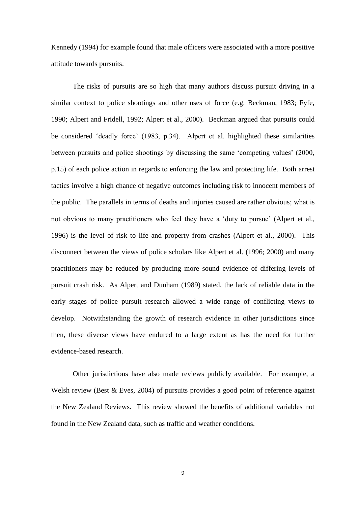Kennedy (1994) for example found that male officers were associated with a more positive attitude towards pursuits.

The risks of pursuits are so high that many authors discuss pursuit driving in a similar context to police shootings and other uses of force (e.g. Beckman, 1983; Fyfe, 1990; Alpert and Fridell, 1992; Alpert et al., 2000). Beckman argued that pursuits could be considered 'deadly force' (1983, p.34). Alpert et al. highlighted these similarities between pursuits and police shootings by discussing the same 'competing values' (2000, p.15) of each police action in regards to enforcing the law and protecting life. Both arrest tactics involve a high chance of negative outcomes including risk to innocent members of the public. The parallels in terms of deaths and injuries caused are rather obvious; what is not obvious to many practitioners who feel they have a 'duty to pursue' (Alpert et al., 1996) is the level of risk to life and property from crashes (Alpert et al., 2000). This disconnect between the views of police scholars like Alpert et al. (1996; 2000) and many practitioners may be reduced by producing more sound evidence of differing levels of pursuit crash risk. As Alpert and Dunham (1989) stated, the lack of reliable data in the early stages of police pursuit research allowed a wide range of conflicting views to develop. Notwithstanding the growth of research evidence in other jurisdictions since then, these diverse views have endured to a large extent as has the need for further evidence-based research.

Other jurisdictions have also made reviews publicly available. For example, a Welsh review (Best & Eves, 2004) of pursuits provides a good point of reference against the New Zealand Reviews. This review showed the benefits of additional variables not found in the New Zealand data, such as traffic and weather conditions.

9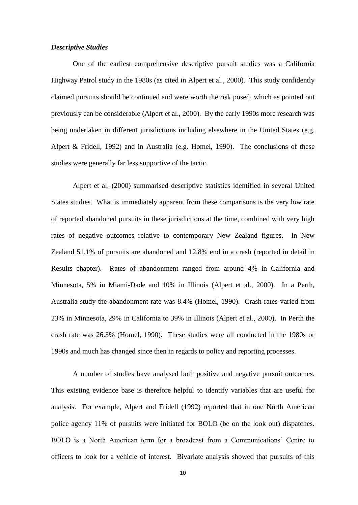#### *Descriptive Studies*

One of the earliest comprehensive descriptive pursuit studies was a California Highway Patrol study in the 1980s (as cited in Alpert et al., 2000). This study confidently claimed pursuits should be continued and were worth the risk posed, which as pointed out previously can be considerable (Alpert et al., 2000). By the early 1990s more research was being undertaken in different jurisdictions including elsewhere in the United States (e.g. Alpert & Fridell, 1992) and in Australia (e.g. Homel, 1990). The conclusions of these studies were generally far less supportive of the tactic.

Alpert et al. (2000) summarised descriptive statistics identified in several United States studies. What is immediately apparent from these comparisons is the very low rate of reported abandoned pursuits in these jurisdictions at the time, combined with very high rates of negative outcomes relative to contemporary New Zealand figures. In New Zealand 51.1% of pursuits are abandoned and 12.8% end in a crash (reported in detail in Results chapter). Rates of abandonment ranged from around 4% in California and Minnesota, 5% in Miami-Dade and 10% in Illinois (Alpert et al., 2000). In a Perth, Australia study the abandonment rate was 8.4% (Homel, 1990). Crash rates varied from 23% in Minnesota, 29% in California to 39% in Illinois (Alpert et al., 2000). In Perth the crash rate was 26.3% (Homel, 1990). These studies were all conducted in the 1980s or 1990s and much has changed since then in regards to policy and reporting processes.

A number of studies have analysed both positive and negative pursuit outcomes. This existing evidence base is therefore helpful to identify variables that are useful for analysis. For example, Alpert and Fridell (1992) reported that in one North American police agency 11% of pursuits were initiated for BOLO (be on the look out) dispatches. BOLO is a North American term for a broadcast from a Communications' Centre to officers to look for a vehicle of interest. Bivariate analysis showed that pursuits of this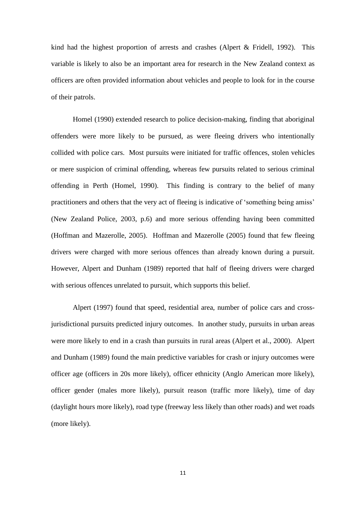kind had the highest proportion of arrests and crashes (Alpert & Fridell, 1992). This variable is likely to also be an important area for research in the New Zealand context as officers are often provided information about vehicles and people to look for in the course of their patrols.

Homel (1990) extended research to police decision-making, finding that aboriginal offenders were more likely to be pursued, as were fleeing drivers who intentionally collided with police cars. Most pursuits were initiated for traffic offences, stolen vehicles or mere suspicion of criminal offending, whereas few pursuits related to serious criminal offending in Perth (Homel, 1990). This finding is contrary to the belief of many practitioners and others that the very act of fleeing is indicative of 'something being amiss' (New Zealand Police, 2003, p.6) and more serious offending having been committed (Hoffman and Mazerolle, 2005). Hoffman and Mazerolle (2005) found that few fleeing drivers were charged with more serious offences than already known during a pursuit. However, Alpert and Dunham (1989) reported that half of fleeing drivers were charged with serious offences unrelated to pursuit, which supports this belief.

Alpert (1997) found that speed, residential area, number of police cars and crossjurisdictional pursuits predicted injury outcomes. In another study, pursuits in urban areas were more likely to end in a crash than pursuits in rural areas (Alpert et al., 2000). Alpert and Dunham (1989) found the main predictive variables for crash or injury outcomes were officer age (officers in 20s more likely), officer ethnicity (Anglo American more likely), officer gender (males more likely), pursuit reason (traffic more likely), time of day (daylight hours more likely), road type (freeway less likely than other roads) and wet roads (more likely).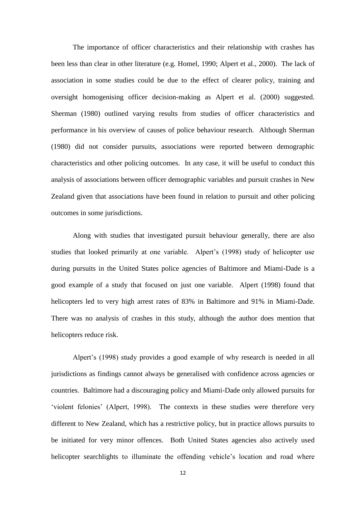The importance of officer characteristics and their relationship with crashes has been less than clear in other literature (e.g. Homel, 1990; Alpert et al., 2000). The lack of association in some studies could be due to the effect of clearer policy, training and oversight homogenising officer decision-making as Alpert et al. (2000) suggested. Sherman (1980) outlined varying results from studies of officer characteristics and performance in his overview of causes of police behaviour research. Although Sherman (1980) did not consider pursuits, associations were reported between demographic characteristics and other policing outcomes. In any case, it will be useful to conduct this analysis of associations between officer demographic variables and pursuit crashes in New Zealand given that associations have been found in relation to pursuit and other policing outcomes in some jurisdictions.

Along with studies that investigated pursuit behaviour generally, there are also studies that looked primarily at one variable. Alpert's (1998) study of helicopter use during pursuits in the United States police agencies of Baltimore and Miami-Dade is a good example of a study that focused on just one variable. Alpert (1998) found that helicopters led to very high arrest rates of 83% in Baltimore and 91% in Miami-Dade. There was no analysis of crashes in this study, although the author does mention that helicopters reduce risk.

Alpert's (1998) study provides a good example of why research is needed in all jurisdictions as findings cannot always be generalised with confidence across agencies or countries. Baltimore had a discouraging policy and Miami-Dade only allowed pursuits for 'violent felonies' (Alpert, 1998). The contexts in these studies were therefore very different to New Zealand, which has a restrictive policy, but in practice allows pursuits to be initiated for very minor offences. Both United States agencies also actively used helicopter searchlights to illuminate the offending vehicle's location and road where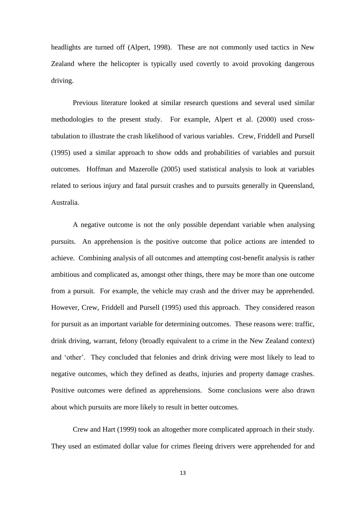headlights are turned off (Alpert, 1998). These are not commonly used tactics in New Zealand where the helicopter is typically used covertly to avoid provoking dangerous driving.

Previous literature looked at similar research questions and several used similar methodologies to the present study. For example, Alpert et al. (2000) used crosstabulation to illustrate the crash likelihood of various variables. Crew, Friddell and Pursell (1995) used a similar approach to show odds and probabilities of variables and pursuit outcomes. Hoffman and Mazerolle (2005) used statistical analysis to look at variables related to serious injury and fatal pursuit crashes and to pursuits generally in Queensland, Australia.

A negative outcome is not the only possible dependant variable when analysing pursuits. An apprehension is the positive outcome that police actions are intended to achieve. Combining analysis of all outcomes and attempting cost-benefit analysis is rather ambitious and complicated as, amongst other things, there may be more than one outcome from a pursuit. For example, the vehicle may crash and the driver may be apprehended. However, Crew, Friddell and Pursell (1995) used this approach. They considered reason for pursuit as an important variable for determining outcomes. These reasons were: traffic, drink driving, warrant, felony (broadly equivalent to a crime in the New Zealand context) and 'other'. They concluded that felonies and drink driving were most likely to lead to negative outcomes, which they defined as deaths, injuries and property damage crashes. Positive outcomes were defined as apprehensions. Some conclusions were also drawn about which pursuits are more likely to result in better outcomes.

Crew and Hart (1999) took an altogether more complicated approach in their study. They used an estimated dollar value for crimes fleeing drivers were apprehended for and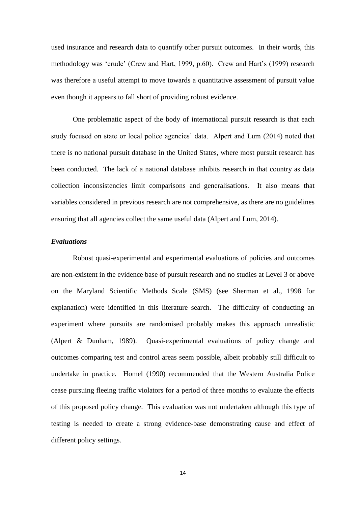used insurance and research data to quantify other pursuit outcomes. In their words, this methodology was 'crude' (Crew and Hart, 1999, p.60). Crew and Hart's (1999) research was therefore a useful attempt to move towards a quantitative assessment of pursuit value even though it appears to fall short of providing robust evidence.

One problematic aspect of the body of international pursuit research is that each study focused on state or local police agencies' data. Alpert and Lum (2014) noted that there is no national pursuit database in the United States, where most pursuit research has been conducted. The lack of a national database inhibits research in that country as data collection inconsistencies limit comparisons and generalisations. It also means that variables considered in previous research are not comprehensive, as there are no guidelines ensuring that all agencies collect the same useful data (Alpert and Lum, 2014).

#### *Evaluations*

Robust quasi-experimental and experimental evaluations of policies and outcomes are non-existent in the evidence base of pursuit research and no studies at Level 3 or above on the Maryland Scientific Methods Scale (SMS) (see Sherman et al., 1998 for explanation) were identified in this literature search. The difficulty of conducting an experiment where pursuits are randomised probably makes this approach unrealistic (Alpert & Dunham, 1989). Quasi-experimental evaluations of policy change and outcomes comparing test and control areas seem possible, albeit probably still difficult to undertake in practice. Homel (1990) recommended that the Western Australia Police cease pursuing fleeing traffic violators for a period of three months to evaluate the effects of this proposed policy change. This evaluation was not undertaken although this type of testing is needed to create a strong evidence-base demonstrating cause and effect of different policy settings.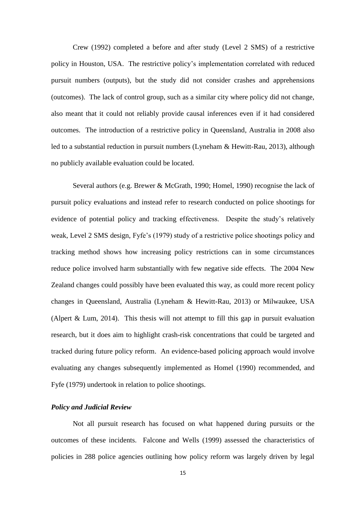Crew (1992) completed a before and after study (Level 2 SMS) of a restrictive policy in Houston, USA. The restrictive policy's implementation correlated with reduced pursuit numbers (outputs), but the study did not consider crashes and apprehensions (outcomes). The lack of control group, such as a similar city where policy did not change, also meant that it could not reliably provide causal inferences even if it had considered outcomes. The introduction of a restrictive policy in Queensland, Australia in 2008 also led to a substantial reduction in pursuit numbers (Lyneham & Hewitt-Rau, 2013), although no publicly available evaluation could be located.

Several authors (e.g. Brewer & McGrath, 1990; Homel, 1990) recognise the lack of pursuit policy evaluations and instead refer to research conducted on police shootings for evidence of potential policy and tracking effectiveness. Despite the study's relatively weak, Level 2 SMS design, Fyfe's (1979) study of a restrictive police shootings policy and tracking method shows how increasing policy restrictions can in some circumstances reduce police involved harm substantially with few negative side effects. The 2004 New Zealand changes could possibly have been evaluated this way, as could more recent policy changes in Queensland, Australia (Lyneham & Hewitt-Rau, 2013) or Milwaukee, USA (Alpert & Lum, 2014). This thesis will not attempt to fill this gap in pursuit evaluation research, but it does aim to highlight crash-risk concentrations that could be targeted and tracked during future policy reform. An evidence-based policing approach would involve evaluating any changes subsequently implemented as Homel (1990) recommended, and Fyfe (1979) undertook in relation to police shootings.

#### *Policy and Judicial Review*

Not all pursuit research has focused on what happened during pursuits or the outcomes of these incidents. Falcone and Wells (1999) assessed the characteristics of policies in 288 police agencies outlining how policy reform was largely driven by legal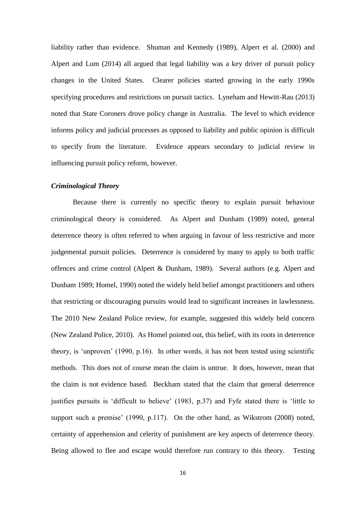liability rather than evidence. Shuman and Kennedy (1989), Alpert et al. (2000) and Alpert and Lum (2014) all argued that legal liability was a key driver of pursuit policy changes in the United States. Clearer policies started growing in the early 1990s specifying procedures and restrictions on pursuit tactics. Lyneham and Hewitt-Rau (2013) noted that State Coroners drove policy change in Australia. The level to which evidence informs policy and judicial processes as opposed to liability and public opinion is difficult to specify from the literature. Evidence appears secondary to judicial review in influencing pursuit policy reform, however.

#### *Criminological Theory*

Because there is currently no specific theory to explain pursuit behaviour criminological theory is considered. As Alpert and Dunham (1989) noted, general deterrence theory is often referred to when arguing in favour of less restrictive and more judgemental pursuit policies. Deterrence is considered by many to apply to both traffic offences and crime control (Alpert & Dunham, 1989). Several authors (e.g. Alpert and Dunham 1989; Homel, 1990) noted the widely held belief amongst practitioners and others that restricting or discouraging pursuits would lead to significant increases in lawlessness. The 2010 New Zealand Police review, for example, suggested this widely held concern (New Zealand Police, 2010). As Homel pointed out, this belief, with its roots in deterrence theory, is 'unproven' (1990, p.16). In other words, it has not been tested using scientific methods. This does not of course mean the claim is untrue. It does, however, mean that the claim is not evidence based. Beckham stated that the claim that general deterrence justifies pursuits is 'difficult to believe' (1983, p.37) and Fyfe stated there is 'little to support such a premise' (1990, p.117). On the other hand, as Wikstrom (2008) noted, certainty of apprehension and celerity of punishment are key aspects of deterrence theory. Being allowed to flee and escape would therefore run contrary to this theory. Testing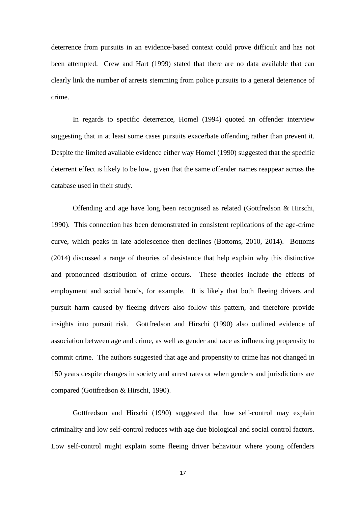deterrence from pursuits in an evidence-based context could prove difficult and has not been attempted. Crew and Hart (1999) stated that there are no data available that can clearly link the number of arrests stemming from police pursuits to a general deterrence of crime.

In regards to specific deterrence, Homel (1994) quoted an offender interview suggesting that in at least some cases pursuits exacerbate offending rather than prevent it. Despite the limited available evidence either way Homel (1990) suggested that the specific deterrent effect is likely to be low, given that the same offender names reappear across the database used in their study.

Offending and age have long been recognised as related (Gottfredson & Hirschi, 1990). This connection has been demonstrated in consistent replications of the age-crime curve, which peaks in late adolescence then declines (Bottoms, 2010, 2014). Bottoms (2014) discussed a range of theories of desistance that help explain why this distinctive and pronounced distribution of crime occurs. These theories include the effects of employment and social bonds, for example. It is likely that both fleeing drivers and pursuit harm caused by fleeing drivers also follow this pattern, and therefore provide insights into pursuit risk. Gottfredson and Hirschi (1990) also outlined evidence of association between age and crime, as well as gender and race as influencing propensity to commit crime. The authors suggested that age and propensity to crime has not changed in 150 years despite changes in society and arrest rates or when genders and jurisdictions are compared (Gottfredson & Hirschi, 1990).

Gottfredson and Hirschi (1990) suggested that low self-control may explain criminality and low self-control reduces with age due biological and social control factors. Low self-control might explain some fleeing driver behaviour where young offenders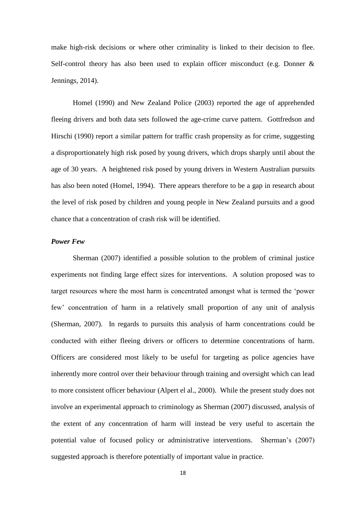make high-risk decisions or where other criminality is linked to their decision to flee. Self-control theory has also been used to explain officer misconduct (e.g. Donner & Jennings, 2014).

Homel (1990) and New Zealand Police (2003) reported the age of apprehended fleeing drivers and both data sets followed the age-crime curve pattern. Gottfredson and Hirschi (1990) report a similar pattern for traffic crash propensity as for crime, suggesting a disproportionately high risk posed by young drivers, which drops sharply until about the age of 30 years. A heightened risk posed by young drivers in Western Australian pursuits has also been noted (Homel, 1994). There appears therefore to be a gap in research about the level of risk posed by children and young people in New Zealand pursuits and a good chance that a concentration of crash risk will be identified.

#### *Power Few*

Sherman (2007) identified a possible solution to the problem of criminal justice experiments not finding large effect sizes for interventions. A solution proposed was to target resources where the most harm is concentrated amongst what is termed the 'power few' concentration of harm in a relatively small proportion of any unit of analysis (Sherman, 2007). In regards to pursuits this analysis of harm concentrations could be conducted with either fleeing drivers or officers to determine concentrations of harm. Officers are considered most likely to be useful for targeting as police agencies have inherently more control over their behaviour through training and oversight which can lead to more consistent officer behaviour (Alpert el al., 2000). While the present study does not involve an experimental approach to criminology as Sherman (2007) discussed, analysis of the extent of any concentration of harm will instead be very useful to ascertain the potential value of focused policy or administrative interventions. Sherman's (2007) suggested approach is therefore potentially of important value in practice.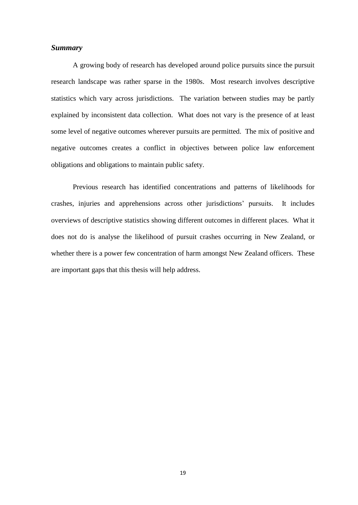#### *Summary*

A growing body of research has developed around police pursuits since the pursuit research landscape was rather sparse in the 1980s. Most research involves descriptive statistics which vary across jurisdictions. The variation between studies may be partly explained by inconsistent data collection. What does not vary is the presence of at least some level of negative outcomes wherever pursuits are permitted. The mix of positive and negative outcomes creates a conflict in objectives between police law enforcement obligations and obligations to maintain public safety.

Previous research has identified concentrations and patterns of likelihoods for crashes, injuries and apprehensions across other jurisdictions' pursuits. It includes overviews of descriptive statistics showing different outcomes in different places. What it does not do is analyse the likelihood of pursuit crashes occurring in New Zealand, or whether there is a power few concentration of harm amongst New Zealand officers. These are important gaps that this thesis will help address.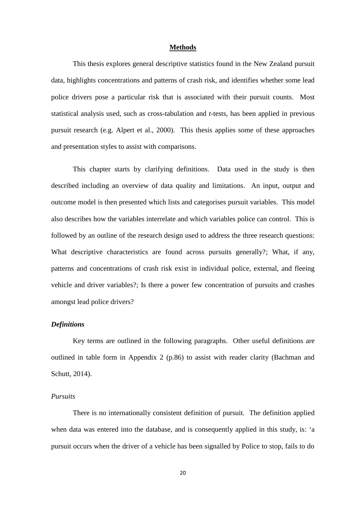#### **Methods**

This thesis explores general descriptive statistics found in the New Zealand pursuit data, highlights concentrations and patterns of crash risk, and identifies whether some lead police drivers pose a particular risk that is associated with their pursuit counts. Most statistical analysis used, such as cross-tabulation and *t*-tests, has been applied in previous pursuit research (e.g. Alpert et al., 2000). This thesis applies some of these approaches and presentation styles to assist with comparisons.

This chapter starts by clarifying definitions. Data used in the study is then described including an overview of data quality and limitations. An input, output and outcome model is then presented which lists and categorises pursuit variables. This model also describes how the variables interrelate and which variables police can control. This is followed by an outline of the research design used to address the three research questions: What descriptive characteristics are found across pursuits generally?; What, if any, patterns and concentrations of crash risk exist in individual police, external, and fleeing vehicle and driver variables?; Is there a power few concentration of pursuits and crashes amongst lead police drivers?

#### *Definitions*

Key terms are outlined in the following paragraphs. Other useful definitions are outlined in table form in Appendix 2 (p.86) to assist with reader clarity (Bachman and Schutt, 2014).

#### *Pursuits*

There is no internationally consistent definition of pursuit. The definition applied when data was entered into the database, and is consequently applied in this study, is: 'a pursuit occurs when the driver of a vehicle has been signalled by Police to stop, fails to do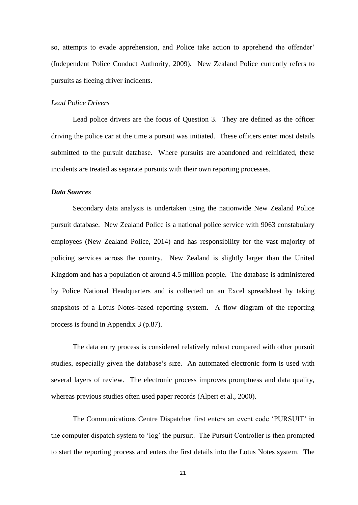so, attempts to evade apprehension, and Police take action to apprehend the offender' (Independent Police Conduct Authority, 2009). New Zealand Police currently refers to pursuits as fleeing driver incidents.

#### *Lead Police Drivers*

Lead police drivers are the focus of Question 3. They are defined as the officer driving the police car at the time a pursuit was initiated. These officers enter most details submitted to the pursuit database. Where pursuits are abandoned and reinitiated, these incidents are treated as separate pursuits with their own reporting processes.

#### *Data Sources*

Secondary data analysis is undertaken using the nationwide New Zealand Police pursuit database. New Zealand Police is a national police service with 9063 constabulary employees (New Zealand Police, 2014) and has responsibility for the vast majority of policing services across the country. New Zealand is slightly larger than the United Kingdom and has a population of around 4.5 million people. The database is administered by Police National Headquarters and is collected on an Excel spreadsheet by taking snapshots of a Lotus Notes-based reporting system. A flow diagram of the reporting process is found in Appendix 3 (p.87).

The data entry process is considered relatively robust compared with other pursuit studies, especially given the database's size. An automated electronic form is used with several layers of review. The electronic process improves promptness and data quality, whereas previous studies often used paper records (Alpert et al., 2000).

The Communications Centre Dispatcher first enters an event code 'PURSUIT' in the computer dispatch system to 'log' the pursuit. The Pursuit Controller is then prompted to start the reporting process and enters the first details into the Lotus Notes system. The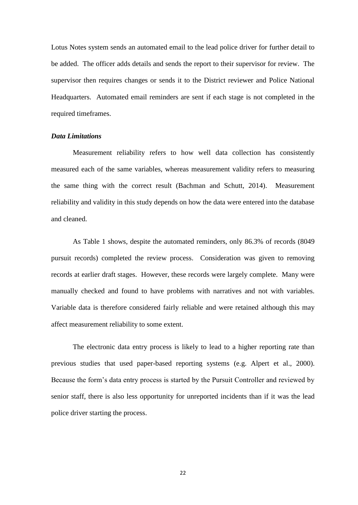Lotus Notes system sends an automated email to the lead police driver for further detail to be added. The officer adds details and sends the report to their supervisor for review. The supervisor then requires changes or sends it to the District reviewer and Police National Headquarters. Automated email reminders are sent if each stage is not completed in the required timeframes.

#### *Data Limitations*

Measurement reliability refers to how well data collection has consistently measured each of the same variables, whereas measurement validity refers to measuring the same thing with the correct result (Bachman and Schutt, 2014). Measurement reliability and validity in this study depends on how the data were entered into the database and cleaned.

As Table 1 shows, despite the automated reminders, only 86.3% of records (8049 pursuit records) completed the review process. Consideration was given to removing records at earlier draft stages. However, these records were largely complete. Many were manually checked and found to have problems with narratives and not with variables. Variable data is therefore considered fairly reliable and were retained although this may affect measurement reliability to some extent.

The electronic data entry process is likely to lead to a higher reporting rate than previous studies that used paper-based reporting systems (e.g. Alpert et al., 2000). Because the form's data entry process is started by the Pursuit Controller and reviewed by senior staff, there is also less opportunity for unreported incidents than if it was the lead police driver starting the process.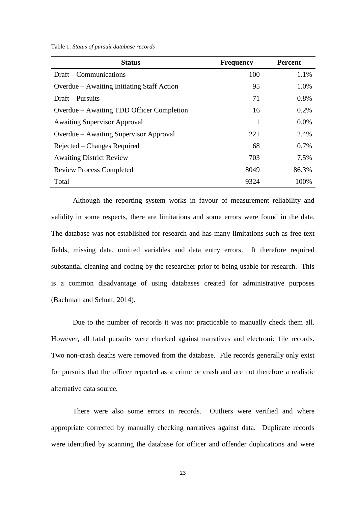Table 1. *Status of pursuit database records*

| <b>Status</b>                              | <b>Frequency</b> | <b>Percent</b> |
|--------------------------------------------|------------------|----------------|
| Draft – Communications                     | 100              | 1.1%           |
| Overdue – Awaiting Initiating Staff Action | 95               | 1.0%           |
| Draft – Pursuits                           | 71               | 0.8%           |
| Overdue – Awaiting TDD Officer Completion  | 16               | 0.2%           |
| <b>Awaiting Supervisor Approval</b>        | 1                | $0.0\%$        |
| Overdue – Awaiting Supervisor Approval     | 221              | 2.4%           |
| Rejected – Changes Required                | 68               | 0.7%           |
| <b>Awaiting District Review</b>            | 703              | 7.5%           |
| <b>Review Process Completed</b>            | 8049             | 86.3%          |
| Total                                      | 9324             | 100%           |

Although the reporting system works in favour of measurement reliability and validity in some respects, there are limitations and some errors were found in the data. The database was not established for research and has many limitations such as free text fields, missing data, omitted variables and data entry errors. It therefore required substantial cleaning and coding by the researcher prior to being usable for research. This is a common disadvantage of using databases created for administrative purposes (Bachman and Schutt, 2014).

Due to the number of records it was not practicable to manually check them all. However, all fatal pursuits were checked against narratives and electronic file records. Two non-crash deaths were removed from the database. File records generally only exist for pursuits that the officer reported as a crime or crash and are not therefore a realistic alternative data source.

There were also some errors in records. Outliers were verified and where appropriate corrected by manually checking narratives against data. Duplicate records were identified by scanning the database for officer and offender duplications and were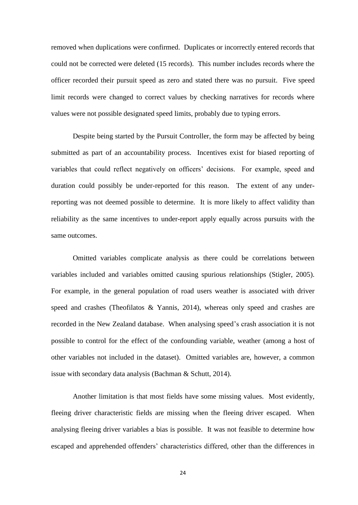removed when duplications were confirmed. Duplicates or incorrectly entered records that could not be corrected were deleted (15 records). This number includes records where the officer recorded their pursuit speed as zero and stated there was no pursuit. Five speed limit records were changed to correct values by checking narratives for records where values were not possible designated speed limits, probably due to typing errors.

Despite being started by the Pursuit Controller, the form may be affected by being submitted as part of an accountability process. Incentives exist for biased reporting of variables that could reflect negatively on officers' decisions. For example, speed and duration could possibly be under-reported for this reason. The extent of any underreporting was not deemed possible to determine. It is more likely to affect validity than reliability as the same incentives to under-report apply equally across pursuits with the same outcomes.

Omitted variables complicate analysis as there could be correlations between variables included and variables omitted causing spurious relationships (Stigler, 2005). For example, in the general population of road users weather is associated with driver speed and crashes (Theofilatos & Yannis, 2014), whereas only speed and crashes are recorded in the New Zealand database. When analysing speed's crash association it is not possible to control for the effect of the confounding variable, weather (among a host of other variables not included in the dataset). Omitted variables are, however, a common issue with secondary data analysis (Bachman & Schutt, 2014).

Another limitation is that most fields have some missing values. Most evidently, fleeing driver characteristic fields are missing when the fleeing driver escaped. When analysing fleeing driver variables a bias is possible. It was not feasible to determine how escaped and apprehended offenders' characteristics differed, other than the differences in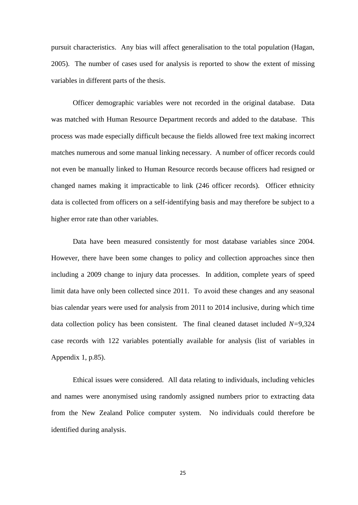pursuit characteristics. Any bias will affect generalisation to the total population (Hagan, 2005). The number of cases used for analysis is reported to show the extent of missing variables in different parts of the thesis.

Officer demographic variables were not recorded in the original database. Data was matched with Human Resource Department records and added to the database. This process was made especially difficult because the fields allowed free text making incorrect matches numerous and some manual linking necessary. A number of officer records could not even be manually linked to Human Resource records because officers had resigned or changed names making it impracticable to link (246 officer records). Officer ethnicity data is collected from officers on a self-identifying basis and may therefore be subject to a higher error rate than other variables.

Data have been measured consistently for most database variables since 2004. However, there have been some changes to policy and collection approaches since then including a 2009 change to injury data processes. In addition, complete years of speed limit data have only been collected since 2011. To avoid these changes and any seasonal bias calendar years were used for analysis from 2011 to 2014 inclusive, during which time data collection policy has been consistent. The final cleaned dataset included *N=*9,324 case records with 122 variables potentially available for analysis (list of variables in Appendix 1, p.85).

Ethical issues were considered. All data relating to individuals, including vehicles and names were anonymised using randomly assigned numbers prior to extracting data from the New Zealand Police computer system. No individuals could therefore be identified during analysis.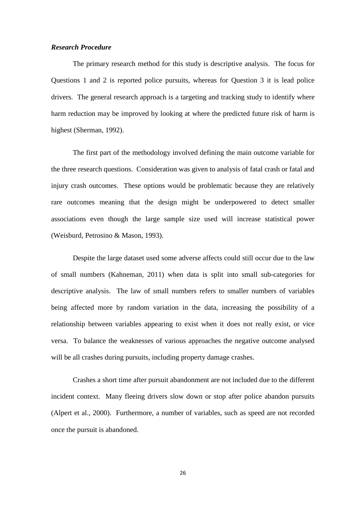#### *Research Procedure*

The primary research method for this study is descriptive analysis. The focus for Questions 1 and 2 is reported police pursuits, whereas for Question 3 it is lead police drivers. The general research approach is a targeting and tracking study to identify where harm reduction may be improved by looking at where the predicted future risk of harm is highest (Sherman, 1992).

The first part of the methodology involved defining the main outcome variable for the three research questions. Consideration was given to analysis of fatal crash or fatal and injury crash outcomes. These options would be problematic because they are relatively rare outcomes meaning that the design might be underpowered to detect smaller associations even though the large sample size used will increase statistical power (Weisburd, Petrosino & Mason, 1993).

Despite the large dataset used some adverse affects could still occur due to the law of small numbers (Kahneman, 2011) when data is split into small sub-categories for descriptive analysis. The law of small numbers refers to smaller numbers of variables being affected more by random variation in the data, increasing the possibility of a relationship between variables appearing to exist when it does not really exist, or vice versa. To balance the weaknesses of various approaches the negative outcome analysed will be all crashes during pursuits, including property damage crashes.

Crashes a short time after pursuit abandonment are not included due to the different incident context. Many fleeing drivers slow down or stop after police abandon pursuits (Alpert et al., 2000). Furthermore, a number of variables, such as speed are not recorded once the pursuit is abandoned.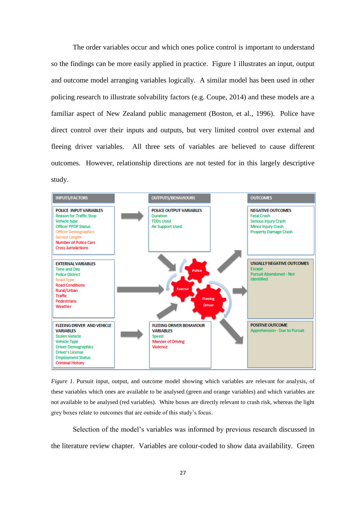The order variables occur and which ones police control is important to understand so the findings can be more easily applied in practice. Figure 1 illustrates an input, output and outcome model arranging variables logically. A similar model has been used in other policing research to illustrate solvability factors (e.g. Coupe, 2014) and these models are a familiar aspect of New Zealand public management (Boston, et al., 1996). Police have direct control over their inputs and outputs, but very limited control over external and fleeing driver variables. All three sets of variables are believed to cause different outcomes. However, relationship directions are not tested for in this largely descriptive study.



*Figure 1*. Pursuit input, output, and outcome model showing which variables are relevant for analysis, of these variables which ones are available to be analysed (green and orange variables) and which variables are not available to be analysed (red variables). White boxes are directly relevant to crash risk, whereas the light grey boxes relate to outcomes that are outside of this study's focus.

Selection of the model's variables was informed by previous research discussed in the literature review chapter. Variables are colour-coded to show data availability. Green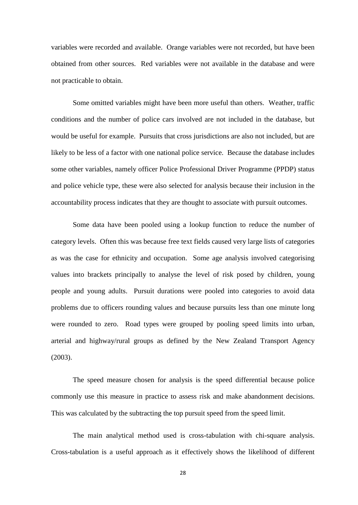variables were recorded and available. Orange variables were not recorded, but have been obtained from other sources. Red variables were not available in the database and were not practicable to obtain.

Some omitted variables might have been more useful than others. Weather, traffic conditions and the number of police cars involved are not included in the database, but would be useful for example. Pursuits that cross jurisdictions are also not included, but are likely to be less of a factor with one national police service. Because the database includes some other variables, namely officer Police Professional Driver Programme (PPDP) status and police vehicle type, these were also selected for analysis because their inclusion in the accountability process indicates that they are thought to associate with pursuit outcomes.

Some data have been pooled using a lookup function to reduce the number of category levels. Often this was because free text fields caused very large lists of categories as was the case for ethnicity and occupation. Some age analysis involved categorising values into brackets principally to analyse the level of risk posed by children, young people and young adults. Pursuit durations were pooled into categories to avoid data problems due to officers rounding values and because pursuits less than one minute long were rounded to zero. Road types were grouped by pooling speed limits into urban, arterial and highway/rural groups as defined by the New Zealand Transport Agency (2003).

The speed measure chosen for analysis is the speed differential because police commonly use this measure in practice to assess risk and make abandonment decisions. This was calculated by the subtracting the top pursuit speed from the speed limit.

The main analytical method used is cross-tabulation with chi-square analysis. Cross-tabulation is a useful approach as it effectively shows the likelihood of different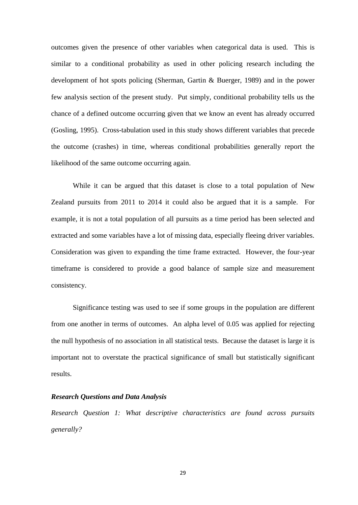outcomes given the presence of other variables when categorical data is used. This is similar to a conditional probability as used in other policing research including the development of hot spots policing (Sherman, Gartin & Buerger, 1989) and in the power few analysis section of the present study. Put simply, conditional probability tells us the chance of a defined outcome occurring given that we know an event has already occurred (Gosling, 1995). Cross-tabulation used in this study shows different variables that precede the outcome (crashes) in time, whereas conditional probabilities generally report the likelihood of the same outcome occurring again.

While it can be argued that this dataset is close to a total population of New Zealand pursuits from 2011 to 2014 it could also be argued that it is a sample. For example, it is not a total population of all pursuits as a time period has been selected and extracted and some variables have a lot of missing data, especially fleeing driver variables. Consideration was given to expanding the time frame extracted. However, the four-year timeframe is considered to provide a good balance of sample size and measurement consistency.

Significance testing was used to see if some groups in the population are different from one another in terms of outcomes. An alpha level of 0.05 was applied for rejecting the null hypothesis of no association in all statistical tests. Because the dataset is large it is important not to overstate the practical significance of small but statistically significant results.

#### *Research Questions and Data Analysis*

*Research Question 1: What descriptive characteristics are found across pursuits generally?*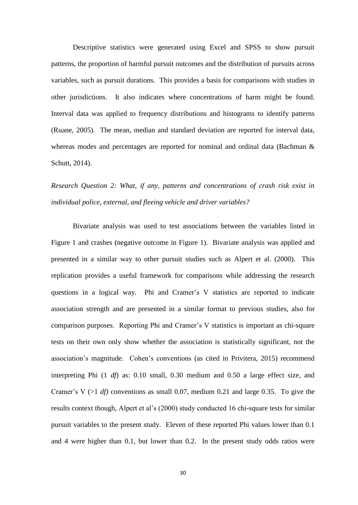Descriptive statistics were generated using Excel and SPSS to show pursuit patterns, the proportion of harmful pursuit outcomes and the distribution of pursuits across variables, such as pursuit durations. This provides a basis for comparisons with studies in other jurisdictions. It also indicates where concentrations of harm might be found. Interval data was applied to frequency distributions and histograms to identify patterns (Ruane, 2005). The mean, median and standard deviation are reported for interval data, whereas modes and percentages are reported for nominal and ordinal data (Bachman & Schutt, 2014).

*Research Question 2: What, if any, patterns and concentrations of crash risk exist in individual police, external, and fleeing vehicle and driver variables?*

Bivariate analysis was used to test associations between the variables listed in Figure 1 and crashes (negative outcome in Figure 1). Bivariate analysis was applied and presented in a similar way to other pursuit studies such as Alpert et al. (2000). This replication provides a useful framework for comparisons while addressing the research questions in a logical way. Phi and Cramer's V statistics are reported to indicate association strength and are presented in a similar format to previous studies, also for comparison purposes. Reporting Phi and Cramer's V statistics is important as chi-square tests on their own only show whether the association is statistically significant, not the association's magnitude. Cohen's conventions (as cited in Privitera, 2015) recommend interpreting Phi (1 *df*) as: 0.10 small, 0.30 medium and 0.50 a large effect size, and Cramer's V  $(>1 \text{ df})$  conventions as small 0.07, medium 0.21 and large 0.35. To give the results context though, Alpert et al's (2000) study conducted 16 chi-square tests for similar pursuit variables to the present study. Eleven of these reported Phi values lower than 0.1 and 4 were higher than 0.1, but lower than 0.2. In the present study odds ratios were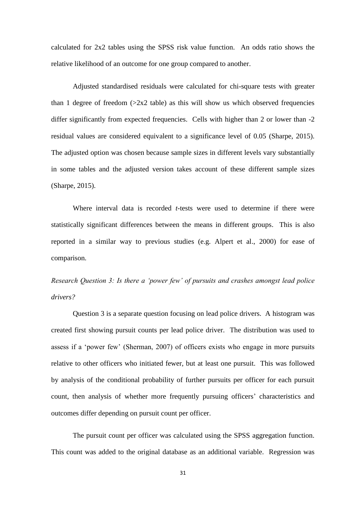calculated for 2x2 tables using the SPSS risk value function. An odds ratio shows the relative likelihood of an outcome for one group compared to another.

Adjusted standardised residuals were calculated for chi-square tests with greater than 1 degree of freedom  $(2x2 \text{ table})$  as this will show us which observed frequencies differ significantly from expected frequencies. Cells with higher than 2 or lower than -2 residual values are considered equivalent to a significance level of 0.05 (Sharpe, 2015). The adjusted option was chosen because sample sizes in different levels vary substantially in some tables and the adjusted version takes account of these different sample sizes (Sharpe, 2015).

Where interval data is recorded *t*-tests were used to determine if there were statistically significant differences between the means in different groups. This is also reported in a similar way to previous studies (e.g. Alpert et al., 2000) for ease of comparison.

*Research Question 3: Is there a 'power few' of pursuits and crashes amongst lead police drivers?*

Question 3 is a separate question focusing on lead police drivers. A histogram was created first showing pursuit counts per lead police driver. The distribution was used to assess if a 'power few' (Sherman, 2007) of officers exists who engage in more pursuits relative to other officers who initiated fewer, but at least one pursuit. This was followed by analysis of the conditional probability of further pursuits per officer for each pursuit count, then analysis of whether more frequently pursuing officers' characteristics and outcomes differ depending on pursuit count per officer.

The pursuit count per officer was calculated using the SPSS aggregation function. This count was added to the original database as an additional variable. Regression was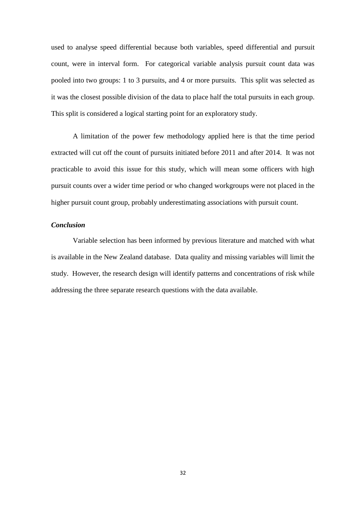used to analyse speed differential because both variables, speed differential and pursuit count, were in interval form. For categorical variable analysis pursuit count data was pooled into two groups: 1 to 3 pursuits, and 4 or more pursuits. This split was selected as it was the closest possible division of the data to place half the total pursuits in each group. This split is considered a logical starting point for an exploratory study.

A limitation of the power few methodology applied here is that the time period extracted will cut off the count of pursuits initiated before 2011 and after 2014. It was not practicable to avoid this issue for this study, which will mean some officers with high pursuit counts over a wider time period or who changed workgroups were not placed in the higher pursuit count group, probably underestimating associations with pursuit count.

## *Conclusion*

Variable selection has been informed by previous literature and matched with what is available in the New Zealand database. Data quality and missing variables will limit the study. However, the research design will identify patterns and concentrations of risk while addressing the three separate research questions with the data available.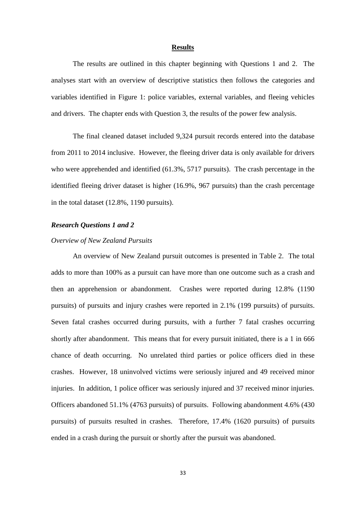## **Results**

The results are outlined in this chapter beginning with Questions 1 and 2. The analyses start with an overview of descriptive statistics then follows the categories and variables identified in Figure 1: police variables, external variables, and fleeing vehicles and drivers. The chapter ends with Question 3, the results of the power few analysis.

The final cleaned dataset included 9,324 pursuit records entered into the database from 2011 to 2014 inclusive. However, the fleeing driver data is only available for drivers who were apprehended and identified (61.3%, 5717 pursuits). The crash percentage in the identified fleeing driver dataset is higher (16.9%, 967 pursuits) than the crash percentage in the total dataset (12.8%, 1190 pursuits).

## *Research Questions 1 and 2*

## *Overview of New Zealand Pursuits*

An overview of New Zealand pursuit outcomes is presented in Table 2. The total adds to more than 100% as a pursuit can have more than one outcome such as a crash and then an apprehension or abandonment. Crashes were reported during 12.8% (1190 pursuits) of pursuits and injury crashes were reported in 2.1% (199 pursuits) of pursuits. Seven fatal crashes occurred during pursuits, with a further 7 fatal crashes occurring shortly after abandonment. This means that for every pursuit initiated, there is a 1 in 666 chance of death occurring. No unrelated third parties or police officers died in these crashes. However, 18 uninvolved victims were seriously injured and 49 received minor injuries. In addition, 1 police officer was seriously injured and 37 received minor injuries. Officers abandoned 51.1% (4763 pursuits) of pursuits. Following abandonment 4.6% (430 pursuits) of pursuits resulted in crashes. Therefore, 17.4% (1620 pursuits) of pursuits ended in a crash during the pursuit or shortly after the pursuit was abandoned.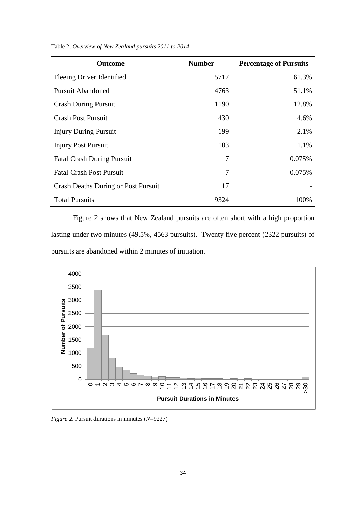| <b>Outcome</b>                             | <b>Number</b> | <b>Percentage of Pursuits</b> |
|--------------------------------------------|---------------|-------------------------------|
| Fleeing Driver Identified                  | 5717          | 61.3%                         |
| <b>Pursuit Abandoned</b>                   | 4763          | 51.1%                         |
| <b>Crash During Pursuit</b>                | 1190          | 12.8%                         |
| <b>Crash Post Pursuit</b>                  | 430           | 4.6%                          |
| <b>Injury During Pursuit</b>               | 199           | 2.1%                          |
| <b>Injury Post Pursuit</b>                 | 103           | 1.1%                          |
| <b>Fatal Crash During Pursuit</b>          | 7             | 0.075%                        |
| <b>Fatal Crash Post Pursuit</b>            | 7             | 0.075%                        |
| <b>Crash Deaths During or Post Pursuit</b> | 17            |                               |
| <b>Total Pursuits</b>                      | 9324          | 100%                          |

Table 2. *Overview of New Zealand pursuits 2011 to 2014*

Figure 2 shows that New Zealand pursuits are often short with a high proportion lasting under two minutes (49.5%, 4563 pursuits). Twenty five percent (2322 pursuits) of pursuits are abandoned within 2 minutes of initiation.



*Figure 2.* Pursuit durations in minutes (*N*=9227)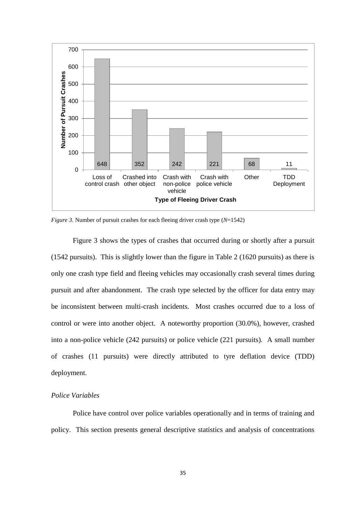

*Figure 3.* Number of pursuit crashes for each fleeing driver crash type (*N*=1542)

Figure 3 shows the types of crashes that occurred during or shortly after a pursuit (1542 pursuits). This is slightly lower than the figure in Table 2 (1620 pursuits) as there is only one crash type field and fleeing vehicles may occasionally crash several times during pursuit and after abandonment. The crash type selected by the officer for data entry may be inconsistent between multi-crash incidents. Most crashes occurred due to a loss of control or were into another object. A noteworthy proportion (30.0%), however, crashed into a non-police vehicle (242 pursuits) or police vehicle (221 pursuits). A small number of crashes (11 pursuits) were directly attributed to tyre deflation device (TDD) deployment.

#### *Police Variables*

Police have control over police variables operationally and in terms of training and policy. This section presents general descriptive statistics and analysis of concentrations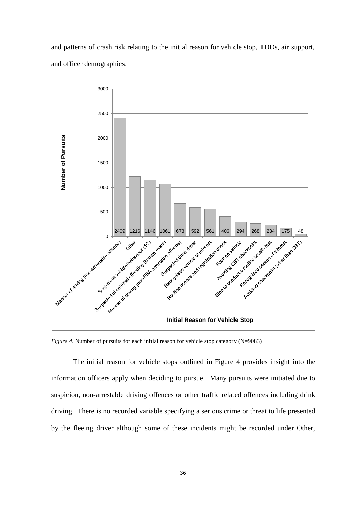and patterns of crash risk relating to the initial reason for vehicle stop, TDDs, air support, and officer demographics.



*Figure 4.* Number of pursuits for each initial reason for vehicle stop category (N=9083)

The initial reason for vehicle stops outlined in Figure 4 provides insight into the information officers apply when deciding to pursue. Many pursuits were initiated due to suspicion, non-arrestable driving offences or other traffic related offences including drink driving. There is no recorded variable specifying a serious crime or threat to life presented by the fleeing driver although some of these incidents might be recorded under Other,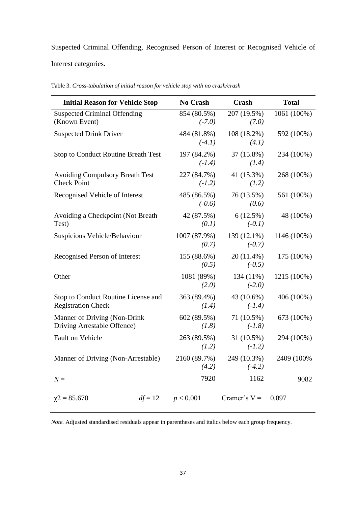Suspected Criminal Offending, Recognised Person of Interest or Recognised Vehicle of

Interest categories.

| <b>Initial Reason for Vehicle Stop</b>                           |           | No Crash                | Crash                   | <b>Total</b> |
|------------------------------------------------------------------|-----------|-------------------------|-------------------------|--------------|
| <b>Suspected Criminal Offending</b><br>(Known Event)             |           | 854 (80.5%)<br>$(-7.0)$ | 207 (19.5%)<br>(7.0)    | 1061 (100%)  |
| <b>Suspected Drink Driver</b>                                    |           | 484 (81.8%)<br>$(-4.1)$ | 108 (18.2%)<br>(4.1)    | 592 (100%)   |
| <b>Stop to Conduct Routine Breath Test</b>                       |           | 197 (84.2%)<br>$(-1.4)$ | 37 (15.8%)<br>(1.4)     | 234 (100%)   |
| <b>Avoiding Compulsory Breath Test</b><br><b>Check Point</b>     |           | 227 (84.7%)<br>$(-1.2)$ | 41 (15.3%)<br>(1.2)     | 268 (100%)   |
| Recognised Vehicle of Interest                                   |           | 485 (86.5%)<br>$(-0.6)$ | 76 (13.5%)<br>(0.6)     | 561 (100%)   |
| Avoiding a Checkpoint (Not Breath<br>Test)                       |           | 42 (87.5%)<br>(0.1)     | 6(12.5%)<br>$(-0.1)$    | 48 (100%)    |
| Suspicious Vehicle/Behaviour                                     |           | 1007 (87.9%)<br>(0.7)   | 139 (12.1%)<br>$(-0.7)$ | 1146 (100%)  |
| Recognised Person of Interest                                    |           | 155 (88.6%)<br>(0.5)    | 20 (11.4%)<br>$(-0.5)$  | 175 (100%)   |
| Other                                                            |           | 1081 (89%)<br>(2.0)     | 134 (11%)<br>$(-2.0)$   | 1215 (100%)  |
| Stop to Conduct Routine License and<br><b>Registration Check</b> |           | 363 (89.4%)<br>(1.4)    | 43 (10.6%)<br>$(-1.4)$  | 406 (100%)   |
| Manner of Driving (Non-Drink<br>Driving Arrestable Offence)      |           | 602 (89.5%)<br>(1.8)    | 71 (10.5%)<br>$(-1.8)$  | 673 (100%)   |
| Fault on Vehicle                                                 |           | 263 (89.5%)<br>(1.2)    | 31 (10.5%)<br>$(-1.2)$  | 294 (100%)   |
| Manner of Driving (Non-Arrestable)                               |           | 2160 (89.7%)<br>(4.2)   | 249 (10.3%)<br>$(-4.2)$ | 2409 (100%)  |
| $N =$                                                            |           | 7920                    | 1162                    | 9082         |
| $\chi$ 2 = 85.670                                                | $df = 12$ | p < 0.001               | Cramer's $V =$          | 0.097        |

Table 3. *Cross-tabulation of initial reason for vehicle stop with no crash/crash*

*Note.* Adjusted standardised residuals appear in parentheses and italics below each group frequency.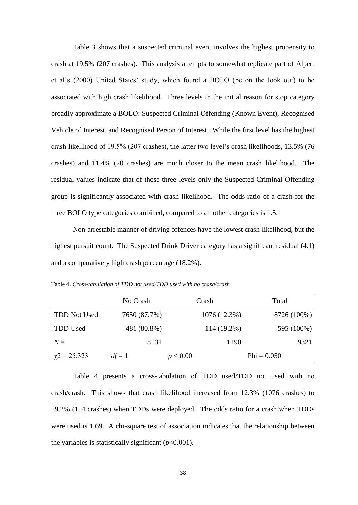Table 3 shows that a suspected criminal event involves the highest propensity to crash at 19.5% (207 crashes). This analysis attempts to somewhat replicate part of Alpert et al's (2000) United States' study, which found a BOLO (be on the look out) to be associated with high crash likelihood. Three levels in the initial reason for stop category broadly approximate a BOLO: Suspected Criminal Offending (Known Event), Recognised Vehicle of Interest, and Recognised Person of Interest. While the first level has the highest crash likelihood of 19.5% (207 crashes), the latter two level's crash likelihoods, 13.5% (76 crashes) and 11.4% (20 crashes) are much closer to the mean crash likelihood. The residual values indicate that of these three levels only the Suspected Criminal Offending group is significantly associated with crash likelihood. The odds ratio of a crash for the three BOLO type categories combined, compared to all other categories is 1.5.

Non-arrestable manner of driving offences have the lowest crash likelihood, but the highest pursuit count. The Suspected Drink Driver category has a significant residual (4.1) and a comparatively high crash percentage (18.2%).

Table 4. *Cross-tabulation of TDD not used/TDD used with no crash/crash*

|                     | No Crash     | Crash        | Total         |
|---------------------|--------------|--------------|---------------|
| <b>TDD Not Used</b> | 7650 (87.7%) | 1076 (12.3%) | 8726 (100%)   |
| <b>TDD</b> Used     | 481 (80.8%)  | 114 (19.2%)  | 595 (100%)    |
| $N =$               | 8131         | 1190         | 9321          |
| $\chi$ 2 = 25.323   | $df = 1$     | p < 0.001    | $Phi = 0.050$ |

Table 4 presents a cross-tabulation of TDD used/TDD not used with no crash/crash. This shows that crash likelihood increased from 12.3% (1076 crashes) to 19.2% (114 crashes) when TDDs were deployed. The odds ratio for a crash when TDDs were used is 1.69. A chi-square test of association indicates that the relationship between the variables is statistically significant  $(p<0.001)$ .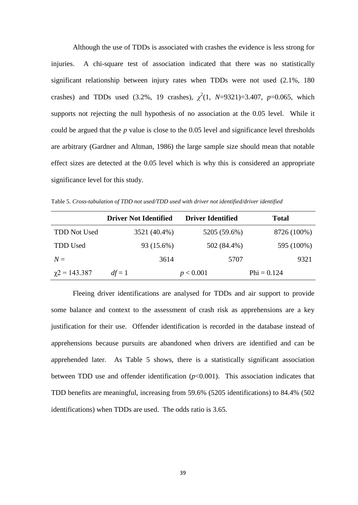Although the use of TDDs is associated with crashes the evidence is less strong for injuries. A chi-square test of association indicated that there was no statistically significant relationship between injury rates when TDDs were not used (2.1%, 180 crashes) and TDDs used  $(3.2\%, 19 \text{ crashes}), \chi^2(1, N=9321)=3.407, p=0.065, \text{ which}$ supports not rejecting the null hypothesis of no association at the 0.05 level. While it could be argued that the *p* value is close to the 0.05 level and significance level thresholds are arbitrary (Gardner and Altman, 1986) the large sample size should mean that notable effect sizes are detected at the 0.05 level which is why this is considered an appropriate significance level for this study.

Table 5. *Cross-tabulation of TDD not used/TDD used with driver not identified/driver identified*

|                      | <b>Driver Not Identified</b> | <b>Driver Identified</b> | <b>Total</b>  |
|----------------------|------------------------------|--------------------------|---------------|
| <b>TDD Not Used</b>  | 3521 (40.4%)                 | 5205 (59.6%)             | 8726 (100%)   |
| <b>TDD</b> Used      | 93 (15.6%)                   | 502 (84.4%)              | 595 (100%)    |
| $N =$                | 3614                         | 5707                     | 9321          |
| $\gamma$ 2 = 143.387 | $df = 1$                     | p < 0.001                | $Phi = 0.124$ |

Fleeing driver identifications are analysed for TDDs and air support to provide some balance and context to the assessment of crash risk as apprehensions are a key justification for their use. Offender identification is recorded in the database instead of apprehensions because pursuits are abandoned when drivers are identified and can be apprehended later. As Table 5 shows, there is a statistically significant association between TDD use and offender identification  $(p<0.001)$ . This association indicates that TDD benefits are meaningful, increasing from 59.6% (5205 identifications) to 84.4% (502 identifications) when TDDs are used. The odds ratio is 3.65.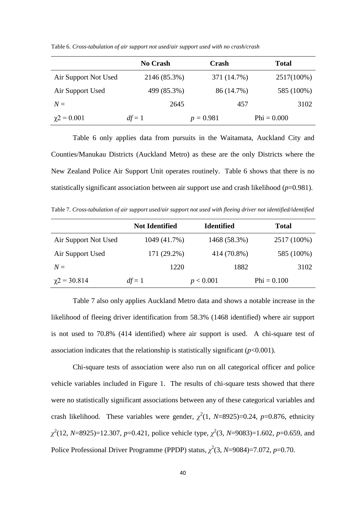|                      | <b>No Crash</b> | Crash       | <b>Total</b>  |
|----------------------|-----------------|-------------|---------------|
| Air Support Not Used | 2146 (85.3%)    | 371 (14.7%) | 2517(100%)    |
| Air Support Used     | 499 (85.3%)     | 86 (14.7%)  | 585 (100%)    |
| $N =$                | 2645            | 457         | 3102          |
| $\chi$ 2 = 0.001     | $df = 1$        | $p = 0.981$ | $Phi = 0.000$ |

Table 6. *Cross-tabulation of air support not used/air support used with no crash/crash*

Table 6 only applies data from pursuits in the Waitamata, Auckland City and Counties/Manukau Districts (Auckland Metro) as these are the only Districts where the New Zealand Police Air Support Unit operates routinely. Table 6 shows that there is no statistically significant association between air support use and crash likelihood  $(p=0.981)$ .

Table 7. *Cross-tabulation of air support used/air support not used with fleeing driver not identified/identified* 

|                      | <b>Not Identified</b> | <b>Identified</b> | <b>Total</b>  |
|----------------------|-----------------------|-------------------|---------------|
| Air Support Not Used | 1049 (41.7%)          | 1468 (58.3%)      | 2517 (100%)   |
| Air Support Used     | 171 (29.2%)           | 414 (70.8%)       | 585 (100%)    |
| $N =$                | 1220                  | 1882              | 3102          |
| $\chi$ 2 = 30.814    | $df = 1$              | p < 0.001         | $Phi = 0.100$ |

Table 7 also only applies Auckland Metro data and shows a notable increase in the likelihood of fleeing driver identification from 58.3% (1468 identified) where air support is not used to 70.8% (414 identified) where air support is used. A chi-square test of association indicates that the relationship is statistically significant (*p*<0.001)*.*

Chi-square tests of association were also run on all categorical officer and police vehicle variables included in Figure 1. The results of chi-square tests showed that there were no statistically significant associations between any of these categorical variables and crash likelihood. These variables were gender,  $\chi^2(1, N=8925)=0.24$ ,  $p=0.876$ , ethnicity *[χ](https://en.wikipedia.org/wiki/Chi_(letter))* 2 (12, *N*=8925)=12.307, *p*=0.421, police vehicle type, *[χ](https://en.wikipedia.org/wiki/Chi_(letter))* 2 (3, *N*=9083)=1.602, *p*=0.659, and Police Professional Driver Programme (PPDP) status, *[χ](https://en.wikipedia.org/wiki/Chi_(letter))* 2 (3, *N*=9084)=7.072, *p*=0.70.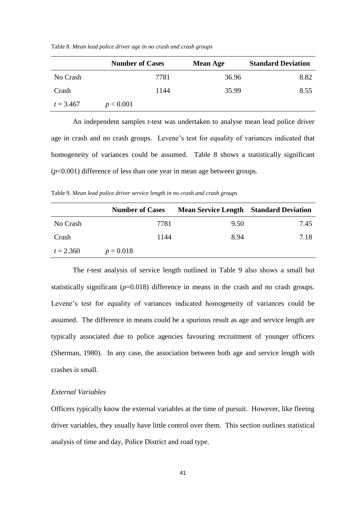| Table 8. Mean lead police driver age in no crash and crash groups |  |  |  |
|-------------------------------------------------------------------|--|--|--|
|                                                                   |  |  |  |

|             | <b>Number of Cases</b> |      | <b>Mean Age</b> | <b>Standard Deviation</b> |
|-------------|------------------------|------|-----------------|---------------------------|
| No Crash    |                        | 7781 | 36.96           | 8.82                      |
| Crash       |                        | 1144 | 35.99           | 8.55                      |
| $t = 3.467$ | p < 0.001              |      |                 |                           |

An independent samples *t*-test was undertaken to analyse mean lead police driver age in crash and no crash groups. Levene's test for equality of variances indicated that homogeneity of variances could be assumed. Table 8 shows a statistically significant (*p*<0.001) difference of less than one year in mean age between groups.

Table 9. *Mean lead police driver service length in no crash and crash groups*

|             | <b>Number of Cases</b> | <b>Mean Service Length Standard Deviation</b> |      |
|-------------|------------------------|-----------------------------------------------|------|
| No Crash    | 7781                   | 9.50                                          | 7.45 |
| Crash       | 1144                   | 8.94                                          | 7.18 |
| $t = 2.360$ | $p = 0.018$            |                                               |      |

The *t*-test analysis of service length outlined in Table 9 also shows a small but statistically significant  $(p=0.018)$  difference in means in the crash and no crash groups. Levene's test for equality of variances indicated homogeneity of variances could be assumed. The difference in means could be a spurious result as age and service length are typically associated due to police agencies favouring recruitment of younger officers (Sherman, 1980). In any case, the association between both age and service length with crashes is small.

# *External Variables*

Officers typically know the external variables at the time of pursuit. However, like fleeing driver variables, they usually have little control over them. This section outlines statistical analysis of time and day, Police District and road type.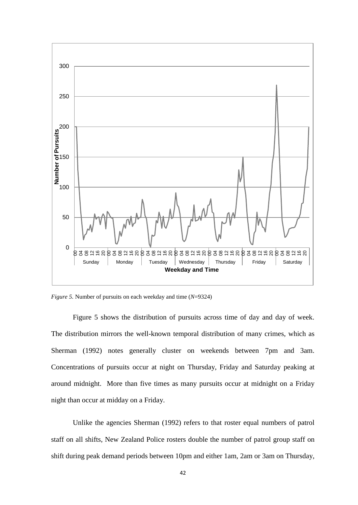

*Figure 5.* Number of pursuits on each weekday and time (*N*=9324)

Figure 5 shows the distribution of pursuits across time of day and day of week. The distribution mirrors the well-known temporal distribution of many crimes, which as Sherman (1992) notes generally cluster on weekends between 7pm and 3am. Concentrations of pursuits occur at night on Thursday, Friday and Saturday peaking at around midnight. More than five times as many pursuits occur at midnight on a Friday night than occur at midday on a Friday.

Unlike the agencies Sherman (1992) refers to that roster equal numbers of patrol staff on all shifts, New Zealand Police rosters double the number of patrol group staff on shift during peak demand periods between 10pm and either 1am, 2am or 3am on Thursday,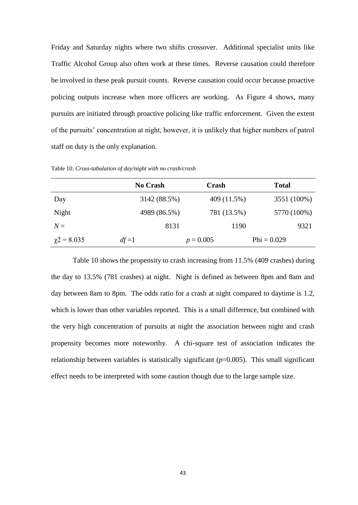Friday and Saturday nights where two shifts crossover. Additional specialist units like Traffic Alcohol Group also often work at these times. Reverse causation could therefore be involved in these peak pursuit counts. Reverse causation could occur because proactive policing outputs increase when more officers are working. As Figure 4 shows, many pursuits are initiated through proactive policing like traffic enforcement. Given the extent of the pursuits' concentration at night, however, it is unlikely that higher numbers of patrol staff on duty is the only explanation.

Table 10. *Cross-tabulation of day/night with no crash/crash*

|                  | <b>No Crash</b> | Crash       | <b>Total</b>  |
|------------------|-----------------|-------------|---------------|
| Day              | 3142 (88.5%)    | 409 (11.5%) | 3551 (100%)   |
| Night            | 4989 (86.5%)    | 781 (13.5%) | 5770 (100%)   |
| $N =$            | 8131            | 1190        | 9321          |
| $\chi$ 2 = 8.035 | $df=1$          | $p = 0.005$ | $Phi = 0.029$ |

Table 10 shows the propensity to crash increasing from 11.5% (409 crashes) during the day to 13.5% (781 crashes) at night. Night is defined as between 8pm and 8am and day between 8am to 8pm. The odds ratio for a crash at night compared to daytime is 1.2, which is lower than other variables reported. This is a small difference, but combined with the very high concentration of pursuits at night the association between night and crash propensity becomes more noteworthy. A chi-square test of association indicates the relationship between variables is statistically significant  $(p=0.005)$ . This small significant effect needs to be interpreted with some caution though due to the large sample size.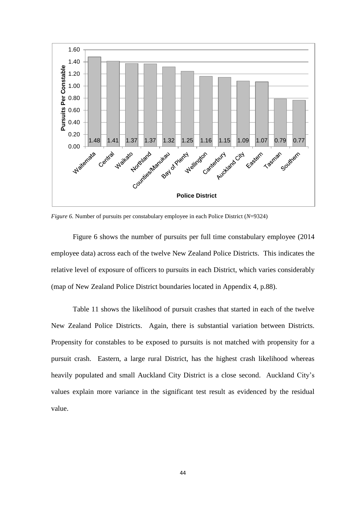

*Figure 6.* Number of pursuits per constabulary employee in each Police District (*N*=9324)

Figure 6 shows the number of pursuits per full time constabulary employee (2014 employee data) across each of the twelve New Zealand Police Districts. This indicates the relative level of exposure of officers to pursuits in each District, which varies considerably (map of New Zealand Police District boundaries located in Appendix 4, p.88).

Table 11 shows the likelihood of pursuit crashes that started in each of the twelve New Zealand Police Districts. Again, there is substantial variation between Districts. Propensity for constables to be exposed to pursuits is not matched with propensity for a pursuit crash. Eastern, a large rural District, has the highest crash likelihood whereas heavily populated and small Auckland City District is a close second. Auckland City's values explain more variance in the significant test result as evidenced by the residual value.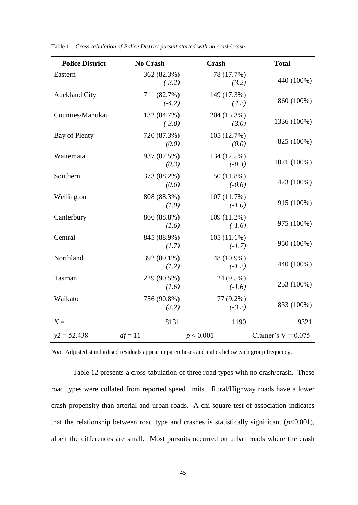| <b>Police District</b> | <b>No Crash</b>          | <b>Crash</b>              | <b>Total</b>         |
|------------------------|--------------------------|---------------------------|----------------------|
| Eastern                | 362 (82.3%)<br>$(-3.2)$  | 78 (17.7%)<br>(3.2)       | 440 (100%)           |
| <b>Auckland City</b>   | 711 (82.7%)<br>$(-4.2)$  | 149 (17.3%)<br>(4.2)      | 860 (100%)           |
| Counties/Manukau       | 1132 (84.7%)<br>$(-3.0)$ | 204 (15.3%)<br>(3.0)      | 1336 (100%)          |
| Bay of Plenty          | 720 (87.3%)<br>(0.0)     | 105 (12.7%)<br>(0.0)      | 825 (100%)           |
| Waitemata              | 937 (87.5%)<br>(0.3)     | 134 (12.5%)<br>$(-0.3)$   | 1071 (100%)          |
| Southern               | 373 (88.2%)<br>(0.6)     | 50 (11.8%)<br>$(-0.6)$    | 423 (100%)           |
| Wellington             | 808 (88.3%)<br>(1.0)     | 107 (11.7%)<br>$(-1.0)$   | 915 (100%)           |
| Canterbury             | 866 (88.8%)<br>(1.6)     | 109 (11.2%)<br>$(-1.6)$   | 975 (100%)           |
| Central                | 845 (88.9%)<br>(1.7)     | $105(11.1\%)$<br>$(-1.7)$ | 950 (100%)           |
| Northland              | 392 (89.1%)<br>(1.2)     | 48 (10.9%)<br>$(-1.2)$    | 440 (100%)           |
| Tasman                 | 229 (90.5%)<br>(1.6)     | 24 (9.5%)<br>$(-1.6)$     | 253 (100%)           |
| Waikato                | 756 (90.8%)<br>(3.2)     | 77 (9.2%)<br>$(-3.2)$     | 833 (100%)           |
| $N =$                  | 8131                     | 1190                      | 9321                 |
| $\chi$ 2 = 52.438      | $df = 11$                | p < 0.001                 | Cramer's $V = 0.075$ |

Table 11. *Cross-tabulation of Police District pursuit started with no crash/crash*

*Note.* Adjusted standardised residuals appear in parentheses and italics below each group frequency.

Table 12 presents a cross-tabulation of three road types with no crash/crash. These road types were collated from reported speed limits. Rural/Highway roads have a lower crash propensity than arterial and urban roads. A chi-square test of association indicates that the relationship between road type and crashes is statistically significant  $(p<0.001)$ , albeit the differences are small. Most pursuits occurred on urban roads where the crash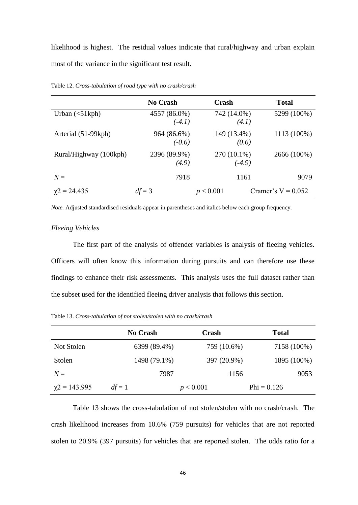likelihood is highest. The residual values indicate that rural/highway and urban explain most of the variance in the significant test result.

|                                                 | <b>No Crash</b>          | Crash                   | <b>Total</b>         |
|-------------------------------------------------|--------------------------|-------------------------|----------------------|
| Urban $\left\langle \text{51kph} \right\rangle$ | 4557 (86.0%)<br>$(-4.1)$ | 742 (14.0%)<br>(4.1)    | 5299 (100%)          |
| Arterial (51-99kph)                             | 964 (86.6%)<br>$(-0.6)$  | 149 (13.4%)<br>(0.6)    | 1113 (100%)          |
| Rural/Highway (100kph)                          | 2396 (89.9%)<br>(4.9)    | 270 (10.1%)<br>$(-4.9)$ | 2666 (100%)          |
| $N =$                                           | 7918                     | 1161                    | 9079                 |
| $\gamma$ 2 = 24.435                             | $df = 3$                 | p < 0.001               | Cramer's $V = 0.052$ |

Table 12. *Cross-tabulation of road type with no crash/crash*

*Note.* Adjusted standardised residuals appear in parentheses and italics below each group frequency.

#### *Fleeing Vehicles*

The first part of the analysis of offender variables is analysis of fleeing vehicles. Officers will often know this information during pursuits and can therefore use these findings to enhance their risk assessments. This analysis uses the full dataset rather than the subset used for the identified fleeing driver analysis that follows this section.

Table 13. *Cross-tabulation of not stolen/stolen with no crash/crash*

|                    | <b>No Crash</b> | <b>Crash</b> | <b>Total</b>  |
|--------------------|-----------------|--------------|---------------|
| Not Stolen         | 6399 (89.4%)    | 759 (10.6%)  | 7158 (100%)   |
| Stolen             | 1498 (79.1%)    | 397 (20.9%)  | 1895 (100%)   |
| $N=$               | 7987            | 1156         | 9053          |
| $\chi$ 2 = 143.995 | $df = 1$        | p < 0.001    | $Phi = 0.126$ |

Table 13 shows the cross-tabulation of not stolen/stolen with no crash/crash. The crash likelihood increases from 10.6% (759 pursuits) for vehicles that are not reported stolen to 20.9% (397 pursuits) for vehicles that are reported stolen. The odds ratio for a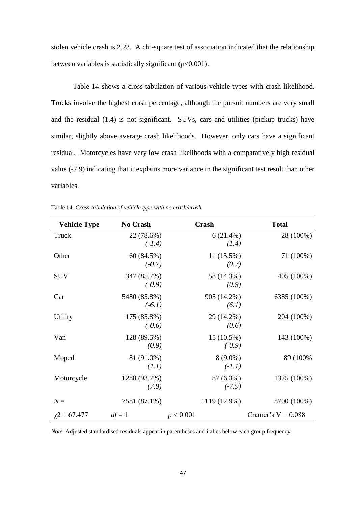stolen vehicle crash is 2.23. A chi-square test of association indicated that the relationship between variables is statistically significant  $(p<0.001)$ .

Table 14 shows a cross-tabulation of various vehicle types with crash likelihood. Trucks involve the highest crash percentage, although the pursuit numbers are very small and the residual (1.4) is not significant. SUVs, cars and utilities (pickup trucks) have similar, slightly above average crash likelihoods. However, only cars have a significant residual. Motorcycles have very low crash likelihoods with a comparatively high residual value (-7.9) indicating that it explains more variance in the significant test result than other variables.

| <b>Vehicle Type</b> | No Crash                 | Crash                  | <b>Total</b>         |
|---------------------|--------------------------|------------------------|----------------------|
| Truck               | 22 (78.6%)<br>$(-1.4)$   | $6(21.4\%)$<br>(1.4)   | 28 (100%)            |
| Other               | 60 (84.5%)<br>$(-0.7)$   | $11(15.5\%)$<br>(0.7)  | 71 (100%)            |
| <b>SUV</b>          | 347 (85.7%)<br>$(-0.9)$  | 58 (14.3%)<br>(0.9)    | 405 (100%)           |
| Car                 | 5480 (85.8%)<br>$(-6.1)$ | 905 (14.2%)<br>(6.1)   | 6385 (100%)          |
| <b>Utility</b>      | 175 (85.8%)<br>$(-0.6)$  | 29 (14.2%)<br>(0.6)    | 204 (100%)           |
| Van                 | 128 (89.5%)<br>(0.9)     | 15 (10.5%)<br>$(-0.9)$ | 143 (100%)           |
| Moped               | 81 (91.0%)<br>(1.1)      | $8(9.0\%)$<br>$(-1.1)$ | 89 (100%)            |
| Motorcycle          | 1288 (93.7%)<br>(7.9)    | 87 (6.3%)<br>$(-7.9)$  | 1375 (100%)          |
| $N =$               | 7581 (87.1%)             | 1119 (12.9%)           | 8700 (100%)          |
| $\chi$ 2 = 67.477   | $df = 1$                 | p < 0.001              | Cramer's $V = 0.088$ |

Table 14. *Cross-tabulation of vehicle type with no crash/crash*

*Note.* Adjusted standardised residuals appear in parentheses and italics below each group frequency.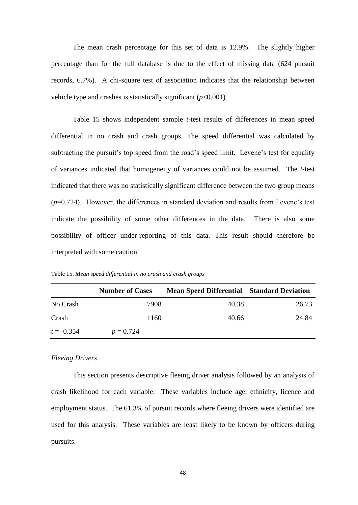The mean crash percentage for this set of data is 12.9%. The slightly higher percentage than for the full database is due to the effect of missing data (624 pursuit records, 6.7%). A chi-square test of association indicates that the relationship between vehicle type and crashes is statistically significant  $(p<0.001)$ .

Table 15 shows independent sample *t*-test results of differences in mean speed differential in no crash and crash groups. The speed differential was calculated by subtracting the pursuit's top speed from the road's speed limit. Levene's test for equality of variances indicated that homogeneity of variances could not be assumed. The *t*-test indicated that there was no statistically significant difference between the two group means (*p*=0.724). However, the differences in standard deviation and results from Levene's test indicate the possibility of some other differences in the data. There is also some possibility of officer under-reporting of this data. This result should therefore be interpreted with some caution.

|              | <b>Number of Cases</b> | <b>Mean Speed Differential Standard Deviation</b> |       |
|--------------|------------------------|---------------------------------------------------|-------|
| No Crash     | 7908                   | 40.38                                             | 26.73 |
| Crash        | 1160                   | 40.66                                             | 24.84 |
| $t = -0.354$ | $p = 0.724$            |                                                   |       |

Table 15. *Mean speed differential in no crash and crash groups*

## *Fleeing Drivers*

This section presents descriptive fleeing driver analysis followed by an analysis of crash likelihood for each variable. These variables include age, ethnicity, licence and employment status. The 61.3% of pursuit records where fleeing drivers were identified are used for this analysis. These variables are least likely to be known by officers during pursuits.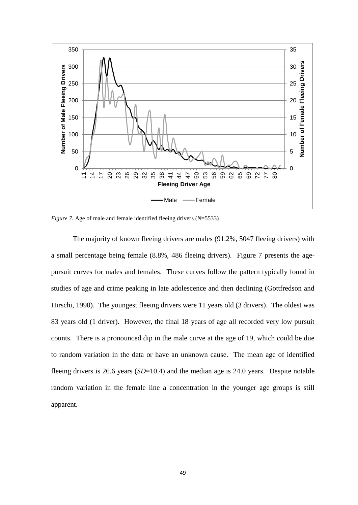

*Figure 7.* Age of male and female identified fleeing drivers (*N*=5533)

The majority of known fleeing drivers are males (91.2%, 5047 fleeing drivers) with a small percentage being female (8.8%, 486 fleeing drivers). Figure 7 presents the agepursuit curves for males and females. These curves follow the pattern typically found in studies of age and crime peaking in late adolescence and then declining (Gottfredson and Hirschi, 1990). The youngest fleeing drivers were 11 years old (3 drivers). The oldest was 83 years old (1 driver). However, the final 18 years of age all recorded very low pursuit counts. There is a pronounced dip in the male curve at the age of 19, which could be due to random variation in the data or have an unknown cause. The mean age of identified fleeing drivers is 26.6 years (*SD*=10.4) and the median age is 24.0 years. Despite notable random variation in the female line a concentration in the younger age groups is still apparent.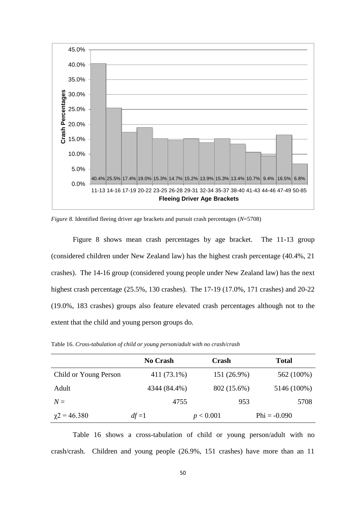

*Figure 8.* Identified fleeing driver age brackets and pursuit crash percentages (*N*=5708)

Figure 8 shows mean crash percentages by age bracket. The 11-13 group (considered children under New Zealand law) has the highest crash percentage (40.4%, 21 crashes). The 14-16 group (considered young people under New Zealand law) has the next highest crash percentage (25.5%, 130 crashes). The 17-19 (17.0%, 171 crashes) and 20-22 (19.0%, 183 crashes) groups also feature elevated crash percentages although not to the extent that the child and young person groups do.

|                       | <b>No Crash</b> | Crash       | <b>Total</b>   |
|-----------------------|-----------------|-------------|----------------|
| Child or Young Person | 411 (73.1%)     | 151 (26.9%) | 562 (100%)     |
| Adult                 | 4344 (84.4%)    | 802 (15.6%) | 5146 (100%)    |
| $N =$                 | 4755            | 953         | 5708           |
| $\gamma$ 2 = 46.380   | $df=1$          | p < 0.001   | $Phi = -0.090$ |

Table 16. *Cross-tabulation of child or young person/adult with no crash/crash*

Table 16 shows a cross-tabulation of child or young person/adult with no crash/crash*.* Children and young people (26.9%, 151 crashes) have more than an 11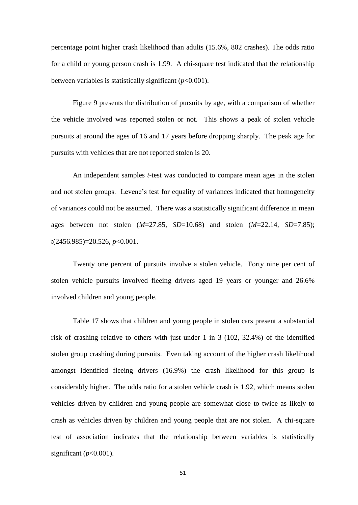percentage point higher crash likelihood than adults (15.6%, 802 crashes). The odds ratio for a child or young person crash is 1.99. A chi-square test indicated that the relationship between variables is statistically significant  $(p<0.001)$ .

Figure 9 presents the distribution of pursuits by age, with a comparison of whether the vehicle involved was reported stolen or not. This shows a peak of stolen vehicle pursuits at around the ages of 16 and 17 years before dropping sharply. The peak age for pursuits with vehicles that are not reported stolen is 20.

An independent samples *t*-test was conducted to compare mean ages in the stolen and not stolen groups. Levene's test for equality of variances indicated that homogeneity of variances could not be assumed. There was a statistically significant difference in mean ages between not stolen (*M*=27.85, *SD*=10.68) and stolen (*M*=22.14, *SD*=7.85); *t*(2456.985)=20.526, *p*<0.001.

Twenty one percent of pursuits involve a stolen vehicle. Forty nine per cent of stolen vehicle pursuits involved fleeing drivers aged 19 years or younger and 26.6% involved children and young people.

Table 17 shows that children and young people in stolen cars present a substantial risk of crashing relative to others with just under 1 in 3 (102, 32.4%) of the identified stolen group crashing during pursuits. Even taking account of the higher crash likelihood amongst identified fleeing drivers (16.9%) the crash likelihood for this group is considerably higher. The odds ratio for a stolen vehicle crash is 1.92, which means stolen vehicles driven by children and young people are somewhat close to twice as likely to crash as vehicles driven by children and young people that are not stolen. A chi-square test of association indicates that the relationship between variables is statistically significant  $(p<0.001)$ .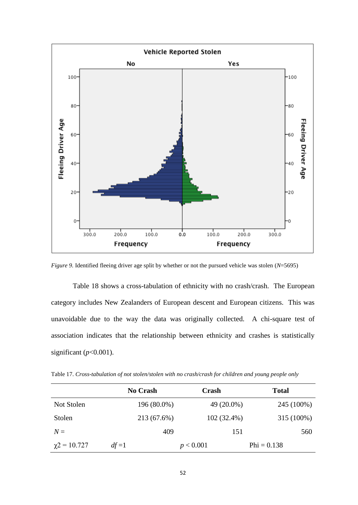

*Figure 9.* Identified fleeing driver age split by whether or not the pursued vehicle was stolen (*N*=5695)

Table 18 shows a cross-tabulation of ethnicity with no crash/crash. The European category includes New Zealanders of European descent and European citizens. This was unavoidable due to the way the data was originally collected. A chi-square test of association indicates that the relationship between ethnicity and crashes is statistically significant  $(p<0.001)$ .

Table 17. *Cross-tabulation of not stolen/stolen with no crash/crash for children and young people only*

|                     | <b>No Crash</b> | <b>Crash</b>  | <b>Total</b>  |
|---------------------|-----------------|---------------|---------------|
| Not Stolen          | 196 (80.0%)     | 49 (20.0%)    | 245 (100%)    |
| Stolen              | 213 (67.6%)     | $102(32.4\%)$ | 315 (100%)    |
| $N=$                | 409             | 151           | 560           |
| $\gamma$ 2 = 10.727 | $df=1$          | p < 0.001     | $Phi = 0.138$ |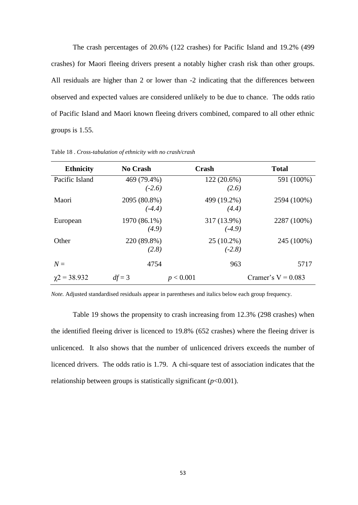The crash percentages of 20.6% (122 crashes) for Pacific Island and 19.2% (499 crashes) for Maori fleeing drivers present a notably higher crash risk than other groups. All residuals are higher than 2 or lower than -2 indicating that the differences between observed and expected values are considered unlikely to be due to chance. The odds ratio of Pacific Island and Maori known fleeing drivers combined, compared to all other ethnic groups is 1.55.

| <b>Ethnicity</b>    | No Crash                 | Crash     |                          | <b>Total</b>         |
|---------------------|--------------------------|-----------|--------------------------|----------------------|
| Pacific Island      | 469 (79.4%)<br>$(-2.6)$  |           | $122(20.6\%)$<br>(2.6)   | 591 (100%)           |
| Maori               | 2095 (80.8%)<br>$(-4.4)$ |           | 499 (19.2%)<br>(4.4)     | 2594 (100%)          |
| European            | 1970 (86.1%)<br>(4.9)    |           | 317 (13.9%)<br>$(-4.9)$  | 2287 (100%)          |
| Other               | 220 (89.8%)<br>(2.8)     |           | $25(10.2\%)$<br>$(-2.8)$ | 245 (100%)           |
| $N =$               | 4754                     |           | 963                      | 5717                 |
| $\gamma$ 2 = 38.932 | $df = 3$                 | p < 0.001 |                          | Cramer's $V = 0.083$ |

Table 18 . *Cross-tabulation of ethnicity with no crash/crash*

*Note.* Adjusted standardised residuals appear in parentheses and italics below each group frequency.

Table 19 shows the propensity to crash increasing from 12.3% (298 crashes) when the identified fleeing driver is licenced to 19.8% (652 crashes) where the fleeing driver is unlicenced. It also shows that the number of unlicenced drivers exceeds the number of licenced drivers. The odds ratio is 1.79. A chi-square test of association indicates that the relationship between groups is statistically significant (*p*<0.001).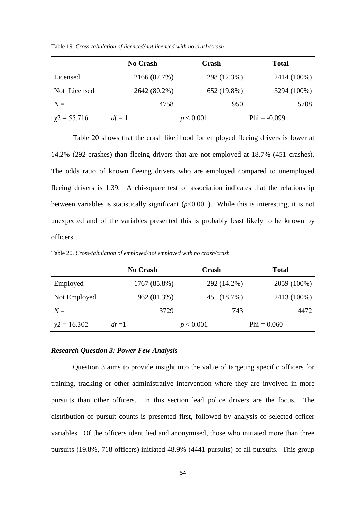Table 19. *Cross-tabulation of licenced/not licenced with no crash/crash*

|                   | <b>No Crash</b> | <b>Crash</b> | <b>Total</b>   |
|-------------------|-----------------|--------------|----------------|
| Licensed          | 2166 (87.7%)    | 298 (12.3%)  | 2414 (100%)    |
| Not Licensed      | 2642 (80.2%)    | 652 (19.8%)  | 3294 (100%)    |
| $N =$             | 4758            | 950          | 5708           |
| $\chi$ 2 = 55.716 | $df = 1$        | p < 0.001    | $Phi = -0.099$ |

Table 20 shows that the crash likelihood for employed fleeing drivers is lower at 14.2% (292 crashes) than fleeing drivers that are not employed at 18.7% (451 crashes). The odds ratio of known fleeing drivers who are employed compared to unemployed fleeing drivers is 1.39. A chi-square test of association indicates that the relationship between variables is statistically significant  $(p<0.001)$ . While this is interesting, it is not unexpected and of the variables presented this is probably least likely to be known by officers.

Table 20. *Cross-tabulation of employed/not employed with no crash/crash*

|                   | <b>No Crash</b> | <b>Crash</b> | <b>Total</b>  |
|-------------------|-----------------|--------------|---------------|
| Employed          | 1767 (85.8%)    | 292 (14.2%)  | 2059 (100%)   |
| Not Employed      | 1962 (81.3%)    | 451 (18.7%)  | 2413 (100%)   |
| $N=$              | 3729            | 743          | 4472          |
| $\chi$ 2 = 16.302 | $df=1$          | p < 0.001    | $Phi = 0.060$ |

## *Research Question 3: Power Few Analysis*

Question 3 aims to provide insight into the value of targeting specific officers for training, tracking or other administrative intervention where they are involved in more pursuits than other officers. In this section lead police drivers are the focus. The distribution of pursuit counts is presented first, followed by analysis of selected officer variables. Of the officers identified and anonymised, those who initiated more than three pursuits (19.8%, 718 officers) initiated 48.9% (4441 pursuits) of all pursuits. This group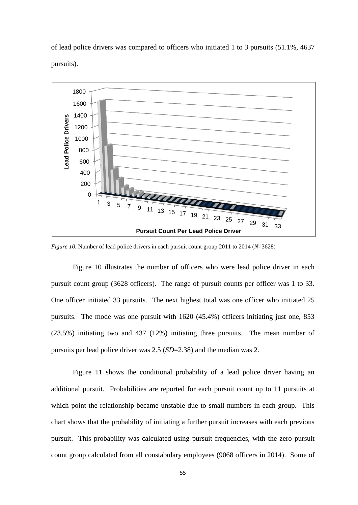of lead police drivers was compared to officers who initiated 1 to 3 pursuits (51.1%, 4637 pursuits).



*Figure 10.* Number of lead police drivers in each pursuit count group 2011 to 2014 (*N*=3628)

Figure 10 illustrates the number of officers who were lead police driver in each pursuit count group (3628 officers). The range of pursuit counts per officer was 1 to 33. One officer initiated 33 pursuits. The next highest total was one officer who initiated 25 pursuits. The mode was one pursuit with 1620 (45.4%) officers initiating just one, 853 (23.5%) initiating two and 437 (12%) initiating three pursuits. The mean number of pursuits per lead police driver was 2.5 (*SD*=2.38) and the median was 2.

Figure 11 shows the conditional probability of a lead police driver having an additional pursuit. Probabilities are reported for each pursuit count up to 11 pursuits at which point the relationship became unstable due to small numbers in each group. This chart shows that the probability of initiating a further pursuit increases with each previous pursuit. This probability was calculated using pursuit frequencies, with the zero pursuit count group calculated from all constabulary employees (9068 officers in 2014). Some of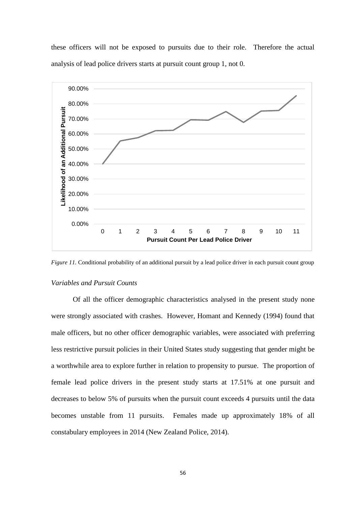these officers will not be exposed to pursuits due to their role. Therefore the actual analysis of lead police drivers starts at pursuit count group 1, not 0.



*Figure 11.* Conditional probability of an additional pursuit by a lead police driver in each pursuit count group

#### *Variables and Pursuit Counts*

Of all the officer demographic characteristics analysed in the present study none were strongly associated with crashes. However, Homant and Kennedy (1994) found that male officers, but no other officer demographic variables, were associated with preferring less restrictive pursuit policies in their United States study suggesting that gender might be a worthwhile area to explore further in relation to propensity to pursue. The proportion of female lead police drivers in the present study starts at 17.51% at one pursuit and decreases to below 5% of pursuits when the pursuit count exceeds 4 pursuits until the data becomes unstable from 11 pursuits. Females made up approximately 18% of all constabulary employees in 2014 (New Zealand Police, 2014).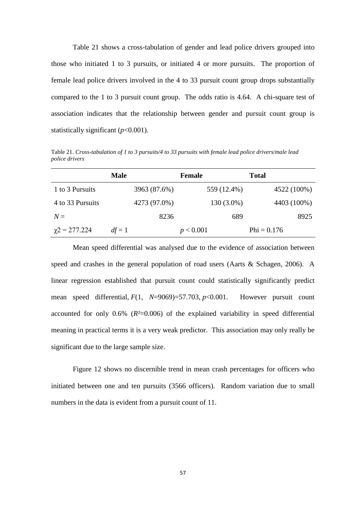Table 21 shows a cross-tabulation of gender and lead police drivers grouped into those who initiated 1 to 3 pursuits, or initiated 4 or more pursuits. The proportion of female lead police drivers involved in the 4 to 33 pursuit count group drops substantially compared to the 1 to 3 pursuit count group. The odds ratio is 4.64. A chi-square test of association indicates that the relationship between gender and pursuit count group is statistically significant (*p*<0.001).

Table 21. *Cross-tabulation of 1 to 3 pursuits/4 to 33 pursuits with female lead police drivers/male lead police drivers*

|                    | <b>Male</b> |              | <b>Female</b> | <b>Total</b>  |
|--------------------|-------------|--------------|---------------|---------------|
| 1 to 3 Pursuits    |             | 3963 (87.6%) | 559 (12.4%)   | 4522 (100%)   |
| 4 to 33 Pursuits   |             | 4273 (97.0%) | 130 (3.0%)    | 4403 (100%)   |
| $N=$               |             | 8236         | 689           | 8925          |
| $\chi$ 2 = 277.224 | $df = 1$    |              | p < 0.001     | $Phi = 0.176$ |

Mean speed differential was analysed due to the evidence of association between speed and crashes in the general population of road users (Aarts & Schagen, 2006). A linear regression established that pursuit count could statistically significantly predict mean speed differential, *F*(1, *N*=9069)=57.703, *p*<0.001. However pursuit count accounted for only 0.6% (*R²*=0.006) of the explained variability in speed differential meaning in practical terms it is a very weak predictor. This association may only really be significant due to the large sample size.

Figure 12 shows no discernible trend in mean crash percentages for officers who initiated between one and ten pursuits (3566 officers). Random variation due to small numbers in the data is evident from a pursuit count of 11.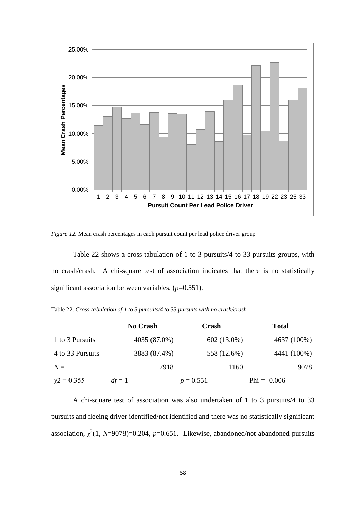

*Figure 12.* Mean crash percentages in each pursuit count per lead police driver group

Table 22 shows a cross-tabulation of 1 to 3 pursuits/4 to 33 pursuits groups, with no crash/crash. A chi-square test of association indicates that there is no statistically significant association between variables, ( $p=0.551$ ).

|                    | <b>No Crash</b> | Crash       | <b>Total</b>   |
|--------------------|-----------------|-------------|----------------|
| 1 to 3 Pursuits    | 4035 (87.0%)    | 602 (13.0%) | 4637 (100%)    |
| 4 to 33 Pursuits   | 3883 (87.4%)    | 558 (12.6%) | 4441 (100%)    |
| $N =$              | 7918            | 1160        | 9078           |
| $\gamma$ 2 = 0.355 | $df = 1$        | $p = 0.551$ | $Phi = -0.006$ |

Table 22. *Cross-tabulation of 1 to 3 pursuits/4 to 33 pursuits with no crash/crash*

A chi-square test of association was also undertaken of 1 to 3 pursuits/4 to 33 pursuits and fleeing driver identified/not identified and there was no statistically significant association,  $\chi^2(1, N=9078)=0.204$ ,  $p=0.651$ . Likewise, abandoned/not abandoned pursuits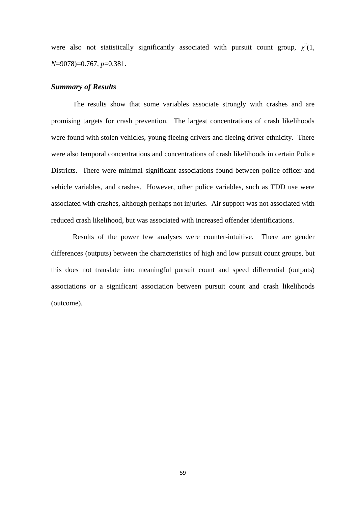were also not statistically significantly associated with pursuit count group,  $\chi^2(1)$ , *N*=9078)=0.767, *p*=0.381.

## *Summary of Results*

The results show that some variables associate strongly with crashes and are promising targets for crash prevention. The largest concentrations of crash likelihoods were found with stolen vehicles, young fleeing drivers and fleeing driver ethnicity. There were also temporal concentrations and concentrations of crash likelihoods in certain Police Districts. There were minimal significant associations found between police officer and vehicle variables, and crashes. However, other police variables, such as TDD use were associated with crashes, although perhaps not injuries. Air support was not associated with reduced crash likelihood, but was associated with increased offender identifications.

Results of the power few analyses were counter-intuitive. There are gender differences (outputs) between the characteristics of high and low pursuit count groups, but this does not translate into meaningful pursuit count and speed differential (outputs) associations or a significant association between pursuit count and crash likelihoods (outcome).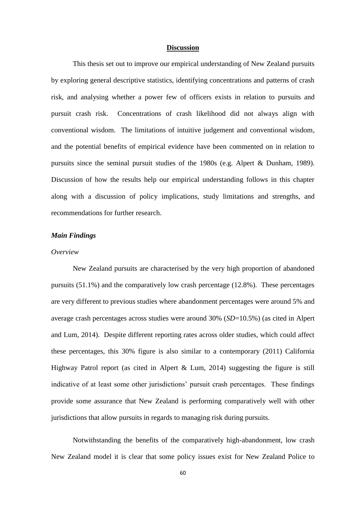## **Discussion**

This thesis set out to improve our empirical understanding of New Zealand pursuits by exploring general descriptive statistics, identifying concentrations and patterns of crash risk, and analysing whether a power few of officers exists in relation to pursuits and pursuit crash risk. Concentrations of crash likelihood did not always align with conventional wisdom. The limitations of intuitive judgement and conventional wisdom, and the potential benefits of empirical evidence have been commented on in relation to pursuits since the seminal pursuit studies of the 1980s (e.g. Alpert & Dunham, 1989). Discussion of how the results help our empirical understanding follows in this chapter along with a discussion of policy implications, study limitations and strengths, and recommendations for further research.

## *Main Findings*

#### *Overview*

New Zealand pursuits are characterised by the very high proportion of abandoned pursuits (51.1%) and the comparatively low crash percentage (12.8%). These percentages are very different to previous studies where abandonment percentages were around 5% and average crash percentages across studies were around 30% (*SD*=10.5%) (as cited in Alpert and Lum, 2014). Despite different reporting rates across older studies, which could affect these percentages, this 30% figure is also similar to a contemporary (2011) California Highway Patrol report (as cited in Alpert & Lum, 2014) suggesting the figure is still indicative of at least some other jurisdictions' pursuit crash percentages. These findings provide some assurance that New Zealand is performing comparatively well with other jurisdictions that allow pursuits in regards to managing risk during pursuits.

Notwithstanding the benefits of the comparatively high-abandonment, low crash New Zealand model it is clear that some policy issues exist for New Zealand Police to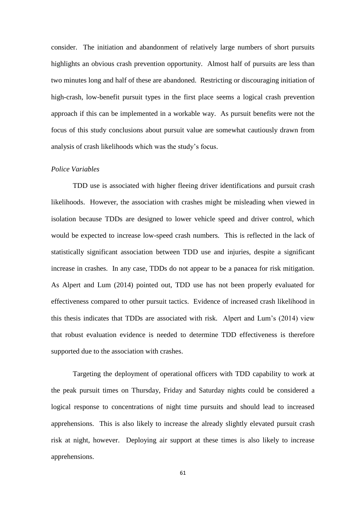consider. The initiation and abandonment of relatively large numbers of short pursuits highlights an obvious crash prevention opportunity. Almost half of pursuits are less than two minutes long and half of these are abandoned. Restricting or discouraging initiation of high-crash, low-benefit pursuit types in the first place seems a logical crash prevention approach if this can be implemented in a workable way. As pursuit benefits were not the focus of this study conclusions about pursuit value are somewhat cautiously drawn from analysis of crash likelihoods which was the study's focus.

# *Police Variables*

TDD use is associated with higher fleeing driver identifications and pursuit crash likelihoods. However, the association with crashes might be misleading when viewed in isolation because TDDs are designed to lower vehicle speed and driver control, which would be expected to increase low-speed crash numbers. This is reflected in the lack of statistically significant association between TDD use and injuries, despite a significant increase in crashes. In any case, TDDs do not appear to be a panacea for risk mitigation. As Alpert and Lum (2014) pointed out, TDD use has not been properly evaluated for effectiveness compared to other pursuit tactics. Evidence of increased crash likelihood in this thesis indicates that TDDs are associated with risk. Alpert and Lum's (2014) view that robust evaluation evidence is needed to determine TDD effectiveness is therefore supported due to the association with crashes.

Targeting the deployment of operational officers with TDD capability to work at the peak pursuit times on Thursday, Friday and Saturday nights could be considered a logical response to concentrations of night time pursuits and should lead to increased apprehensions. This is also likely to increase the already slightly elevated pursuit crash risk at night, however. Deploying air support at these times is also likely to increase apprehensions.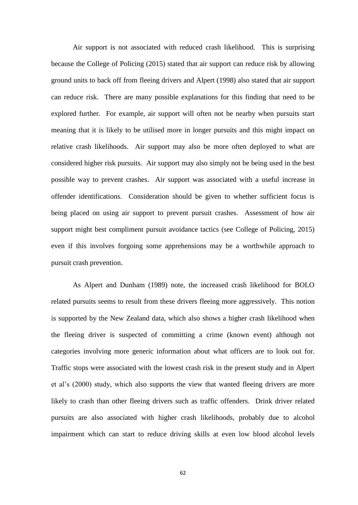Air support is not associated with reduced crash likelihood. This is surprising because the College of Policing (2015) stated that air support can reduce risk by allowing ground units to back off from fleeing drivers and Alpert (1998) also stated that air support can reduce risk. There are many possible explanations for this finding that need to be explored further. For example, air support will often not be nearby when pursuits start meaning that it is likely to be utilised more in longer pursuits and this might impact on relative crash likelihoods. Air support may also be more often deployed to what are considered higher risk pursuits. Air support may also simply not be being used in the best possible way to prevent crashes. Air support was associated with a useful increase in offender identifications. Consideration should be given to whether sufficient focus is being placed on using air support to prevent pursuit crashes. Assessment of how air support might best compliment pursuit avoidance tactics (see College of Policing, 2015) even if this involves forgoing some apprehensions may be a worthwhile approach to pursuit crash prevention.

As Alpert and Dunham (1989) note, the increased crash likelihood for BOLO related pursuits seems to result from these drivers fleeing more aggressively. This notion is supported by the New Zealand data, which also shows a higher crash likelihood when the fleeing driver is suspected of committing a crime (known event) although not categories involving more generic information about what officers are to look out for. Traffic stops were associated with the lowest crash risk in the present study and in Alpert et al's (2000) study, which also supports the view that wanted fleeing drivers are more likely to crash than other fleeing drivers such as traffic offenders. Drink driver related pursuits are also associated with higher crash likelihoods, probably due to alcohol impairment which can start to reduce driving skills at even low blood alcohol levels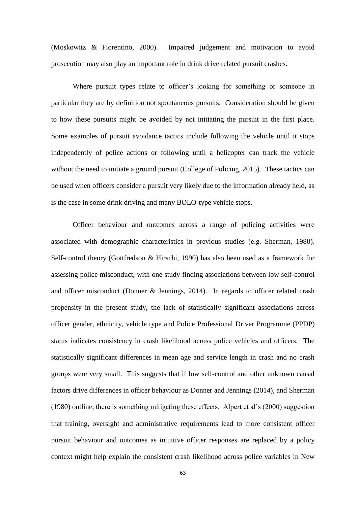(Moskowitz & Fiorentino, 2000). Impaired judgement and motivation to avoid prosecution may also play an important role in drink drive related pursuit crashes.

Where pursuit types relate to officer's looking for something or someone in particular they are by definition not spontaneous pursuits. Consideration should be given to how these pursuits might be avoided by not initiating the pursuit in the first place. Some examples of pursuit avoidance tactics include following the vehicle until it stops independently of police actions or following until a helicopter can track the vehicle without the need to initiate a ground pursuit (College of Policing, 2015). These tactics can be used when officers consider a pursuit very likely due to the information already held, as is the case in some drink driving and many BOLO-type vehicle stops.

Officer behaviour and outcomes across a range of policing activities were associated with demographic characteristics in previous studies (e.g. Sherman, 1980). Self-control theory (Gottfredson & Hirschi, 1990) has also been used as a framework for assessing police misconduct, with one study finding associations between low self-control and officer misconduct (Donner & Jennings, 2014). In regards to officer related crash propensity in the present study, the lack of statistically significant associations across officer gender, ethnicity, vehicle type and Police Professional Driver Programme (PPDP) status indicates consistency in crash likelihood across police vehicles and officers. The statistically significant differences in mean age and service length in crash and no crash groups were very small. This suggests that if low self-control and other unknown causal factors drive differences in officer behaviour as Donner and Jennings (2014), and Sherman (1980) outline, there is something mitigating these effects. Alpert et al's (2000) suggestion that training, oversight and administrative requirements lead to more consistent officer pursuit behaviour and outcomes as intuitive officer responses are replaced by a policy context might help explain the consistent crash likelihood across police variables in New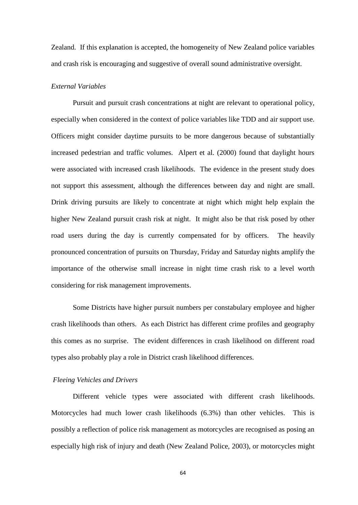Zealand. If this explanation is accepted, the homogeneity of New Zealand police variables and crash risk is encouraging and suggestive of overall sound administrative oversight.

## *External Variables*

Pursuit and pursuit crash concentrations at night are relevant to operational policy, especially when considered in the context of police variables like TDD and air support use. Officers might consider daytime pursuits to be more dangerous because of substantially increased pedestrian and traffic volumes. Alpert et al. (2000) found that daylight hours were associated with increased crash likelihoods. The evidence in the present study does not support this assessment, although the differences between day and night are small. Drink driving pursuits are likely to concentrate at night which might help explain the higher New Zealand pursuit crash risk at night. It might also be that risk posed by other road users during the day is currently compensated for by officers. The heavily pronounced concentration of pursuits on Thursday, Friday and Saturday nights amplify the importance of the otherwise small increase in night time crash risk to a level worth considering for risk management improvements.

Some Districts have higher pursuit numbers per constabulary employee and higher crash likelihoods than others. As each District has different crime profiles and geography this comes as no surprise. The evident differences in crash likelihood on different road types also probably play a role in District crash likelihood differences.

## *Fleeing Vehicles and Drivers*

Different vehicle types were associated with different crash likelihoods. Motorcycles had much lower crash likelihoods (6.3%) than other vehicles. This is possibly a reflection of police risk management as motorcycles are recognised as posing an especially high risk of injury and death (New Zealand Police, 2003), or motorcycles might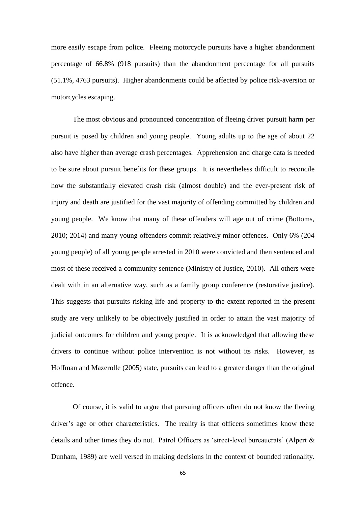more easily escape from police. Fleeing motorcycle pursuits have a higher abandonment percentage of 66.8% (918 pursuits) than the abandonment percentage for all pursuits (51.1%, 4763 pursuits). Higher abandonments could be affected by police risk-aversion or motorcycles escaping.

The most obvious and pronounced concentration of fleeing driver pursuit harm per pursuit is posed by children and young people. Young adults up to the age of about 22 also have higher than average crash percentages. Apprehension and charge data is needed to be sure about pursuit benefits for these groups. It is nevertheless difficult to reconcile how the substantially elevated crash risk (almost double) and the ever-present risk of injury and death are justified for the vast majority of offending committed by children and young people. We know that many of these offenders will age out of crime (Bottoms, 2010; 2014) and many young offenders commit relatively minor offences. Only 6% (204 young people) of all young people arrested in 2010 were convicted and then sentenced and most of these received a community sentence (Ministry of Justice, 2010). All others were dealt with in an alternative way, such as a family group conference (restorative justice). This suggests that pursuits risking life and property to the extent reported in the present study are very unlikely to be objectively justified in order to attain the vast majority of judicial outcomes for children and young people. It is acknowledged that allowing these drivers to continue without police intervention is not without its risks. However, as Hoffman and Mazerolle (2005) state, pursuits can lead to a greater danger than the original offence.

Of course, it is valid to argue that pursuing officers often do not know the fleeing driver's age or other characteristics. The reality is that officers sometimes know these details and other times they do not. Patrol Officers as 'street-level bureaucrats' (Alpert & Dunham, 1989) are well versed in making decisions in the context of bounded rationality.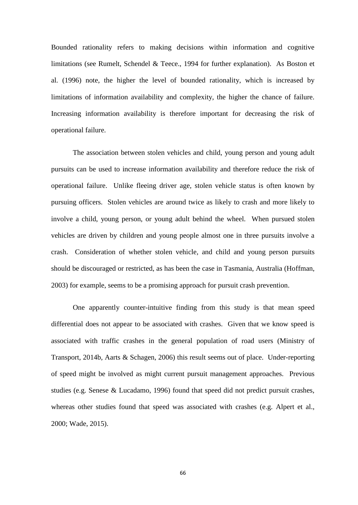Bounded rationality refers to making decisions within information and cognitive limitations (see Rumelt, Schendel & Teece., 1994 for further explanation). As Boston et al. (1996) note, the higher the level of bounded rationality, which is increased by limitations of information availability and complexity, the higher the chance of failure. Increasing information availability is therefore important for decreasing the risk of operational failure.

The association between stolen vehicles and child, young person and young adult pursuits can be used to increase information availability and therefore reduce the risk of operational failure. Unlike fleeing driver age, stolen vehicle status is often known by pursuing officers. Stolen vehicles are around twice as likely to crash and more likely to involve a child, young person, or young adult behind the wheel. When pursued stolen vehicles are driven by children and young people almost one in three pursuits involve a crash. Consideration of whether stolen vehicle, and child and young person pursuits should be discouraged or restricted, as has been the case in Tasmania, Australia (Hoffman, 2003) for example, seems to be a promising approach for pursuit crash prevention.

One apparently counter-intuitive finding from this study is that mean speed differential does not appear to be associated with crashes. Given that we know speed is associated with traffic crashes in the general population of road users (Ministry of Transport, 2014b, Aarts & Schagen, 2006) this result seems out of place. Under-reporting of speed might be involved as might current pursuit management approaches. Previous studies (e.g. Senese & Lucadamo, 1996) found that speed did not predict pursuit crashes, whereas other studies found that speed was associated with crashes (e.g. Alpert et al., 2000; Wade, 2015).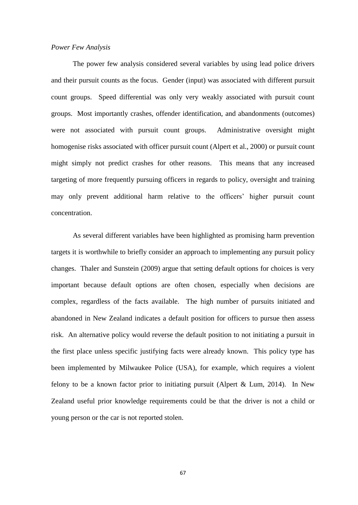#### *Power Few Analysis*

The power few analysis considered several variables by using lead police drivers and their pursuit counts as the focus. Gender (input) was associated with different pursuit count groups. Speed differential was only very weakly associated with pursuit count groups. Most importantly crashes, offender identification, and abandonments (outcomes) were not associated with pursuit count groups. Administrative oversight might homogenise risks associated with officer pursuit count (Alpert et al., 2000) or pursuit count might simply not predict crashes for other reasons. This means that any increased targeting of more frequently pursuing officers in regards to policy, oversight and training may only prevent additional harm relative to the officers' higher pursuit count concentration.

As several different variables have been highlighted as promising harm prevention targets it is worthwhile to briefly consider an approach to implementing any pursuit policy changes. Thaler and Sunstein (2009) argue that setting default options for choices is very important because default options are often chosen, especially when decisions are complex, regardless of the facts available. The high number of pursuits initiated and abandoned in New Zealand indicates a default position for officers to pursue then assess risk. An alternative policy would reverse the default position to not initiating a pursuit in the first place unless specific justifying facts were already known. This policy type has been implemented by Milwaukee Police (USA), for example, which requires a violent felony to be a known factor prior to initiating pursuit (Alpert & Lum, 2014). In New Zealand useful prior knowledge requirements could be that the driver is not a child or young person or the car is not reported stolen.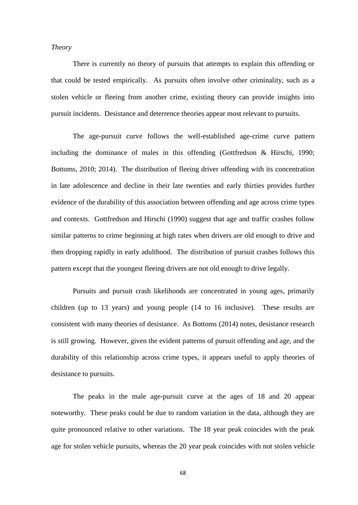### *Theory*

There is currently no theory of pursuits that attempts to explain this offending or that could be tested empirically. As pursuits often involve other criminality, such as a stolen vehicle or fleeing from another crime, existing theory can provide insights into pursuit incidents. Desistance and deterrence theories appear most relevant to pursuits.

The age-pursuit curve follows the well-established age-crime curve pattern including the dominance of males in this offending (Gottfredson & Hirschi, 1990; Bottoms, 2010; 2014). The distribution of fleeing driver offending with its concentration in late adolescence and decline in their late twenties and early thirties provides further evidence of the durability of this association between offending and age across crime types and contexts. Gottfredson and Hirschi (1990) suggest that age and traffic crashes follow similar patterns to crime beginning at high rates when drivers are old enough to drive and then dropping rapidly in early adulthood. The distribution of pursuit crashes follows this pattern except that the youngest fleeing drivers are not old enough to drive legally.

Pursuits and pursuit crash likelihoods are concentrated in young ages, primarily children (up to 13 years) and young people (14 to 16 inclusive). These results are consistent with many theories of desistance. As Bottoms (2014) notes, desistance research is still growing. However, given the evident patterns of pursuit offending and age, and the durability of this relationship across crime types, it appears useful to apply theories of desistance to pursuits.

The peaks in the male age-pursuit curve at the ages of 18 and 20 appear noteworthy. These peaks could be due to random variation in the data, although they are quite pronounced relative to other variations. The 18 year peak coincides with the peak age for stolen vehicle pursuits, whereas the 20 year peak coincides with not stolen vehicle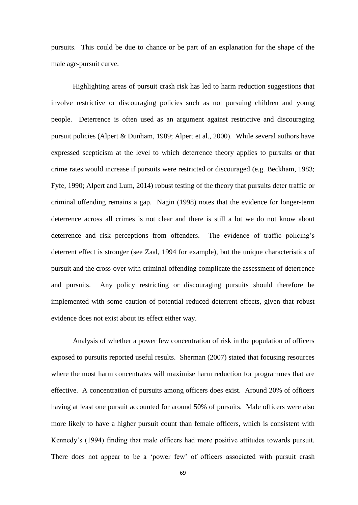pursuits. This could be due to chance or be part of an explanation for the shape of the male age-pursuit curve.

Highlighting areas of pursuit crash risk has led to harm reduction suggestions that involve restrictive or discouraging policies such as not pursuing children and young people. Deterrence is often used as an argument against restrictive and discouraging pursuit policies (Alpert & Dunham, 1989; Alpert et al., 2000). While several authors have expressed scepticism at the level to which deterrence theory applies to pursuits or that crime rates would increase if pursuits were restricted or discouraged (e.g. Beckham, 1983; Fyfe, 1990; Alpert and Lum, 2014) robust testing of the theory that pursuits deter traffic or criminal offending remains a gap. Nagin (1998) notes that the evidence for longer-term deterrence across all crimes is not clear and there is still a lot we do not know about deterrence and risk perceptions from offenders. The evidence of traffic policing's deterrent effect is stronger (see Zaal, 1994 for example), but the unique characteristics of pursuit and the cross-over with criminal offending complicate the assessment of deterrence and pursuits. Any policy restricting or discouraging pursuits should therefore be implemented with some caution of potential reduced deterrent effects, given that robust evidence does not exist about its effect either way.

Analysis of whether a power few concentration of risk in the population of officers exposed to pursuits reported useful results. Sherman (2007) stated that focusing resources where the most harm concentrates will maximise harm reduction for programmes that are effective. A concentration of pursuits among officers does exist. Around 20% of officers having at least one pursuit accounted for around 50% of pursuits. Male officers were also more likely to have a higher pursuit count than female officers, which is consistent with Kennedy's (1994) finding that male officers had more positive attitudes towards pursuit. There does not appear to be a 'power few' of officers associated with pursuit crash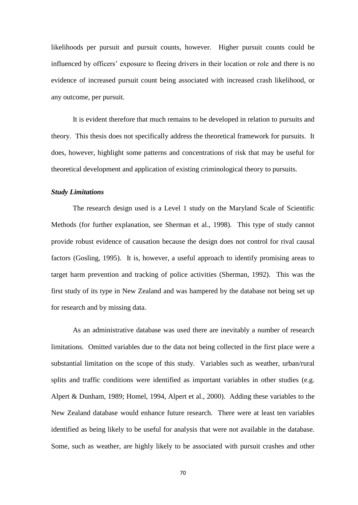likelihoods per pursuit and pursuit counts, however. Higher pursuit counts could be influenced by officers' exposure to fleeing drivers in their location or role and there is no evidence of increased pursuit count being associated with increased crash likelihood, or any outcome, per pursuit.

It is evident therefore that much remains to be developed in relation to pursuits and theory. This thesis does not specifically address the theoretical framework for pursuits. It does, however, highlight some patterns and concentrations of risk that may be useful for theoretical development and application of existing criminological theory to pursuits.

### *Study Limitations*

The research design used is a Level 1 study on the Maryland Scale of Scientific Methods (for further explanation, see Sherman et al., 1998). This type of study cannot provide robust evidence of causation because the design does not control for rival causal factors (Gosling, 1995). It is, however, a useful approach to identify promising areas to target harm prevention and tracking of police activities (Sherman, 1992). This was the first study of its type in New Zealand and was hampered by the database not being set up for research and by missing data.

As an administrative database was used there are inevitably a number of research limitations*.* Omitted variables due to the data not being collected in the first place were a substantial limitation on the scope of this study. Variables such as weather, urban/rural splits and traffic conditions were identified as important variables in other studies (e.g. Alpert & Dunham, 1989; Homel, 1994, Alpert et al., 2000). Adding these variables to the New Zealand database would enhance future research. There were at least ten variables identified as being likely to be useful for analysis that were not available in the database. Some, such as weather, are highly likely to be associated with pursuit crashes and other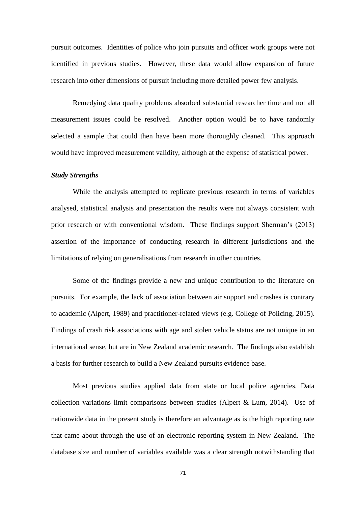pursuit outcomes. Identities of police who join pursuits and officer work groups were not identified in previous studies. However, these data would allow expansion of future research into other dimensions of pursuit including more detailed power few analysis.

Remedying data quality problems absorbed substantial researcher time and not all measurement issues could be resolved. Another option would be to have randomly selected a sample that could then have been more thoroughly cleaned. This approach would have improved measurement validity, although at the expense of statistical power.

#### *Study Strengths*

While the analysis attempted to replicate previous research in terms of variables analysed, statistical analysis and presentation the results were not always consistent with prior research or with conventional wisdom. These findings support Sherman's (2013) assertion of the importance of conducting research in different jurisdictions and the limitations of relying on generalisations from research in other countries.

Some of the findings provide a new and unique contribution to the literature on pursuits. For example, the lack of association between air support and crashes is contrary to academic (Alpert, 1989) and practitioner-related views (e.g. College of Policing, 2015). Findings of crash risk associations with age and stolen vehicle status are not unique in an international sense, but are in New Zealand academic research. The findings also establish a basis for further research to build a New Zealand pursuits evidence base.

Most previous studies applied data from state or local police agencies. Data collection variations limit comparisons between studies (Alpert & Lum, 2014). Use of nationwide data in the present study is therefore an advantage as is the high reporting rate that came about through the use of an electronic reporting system in New Zealand. The database size and number of variables available was a clear strength notwithstanding that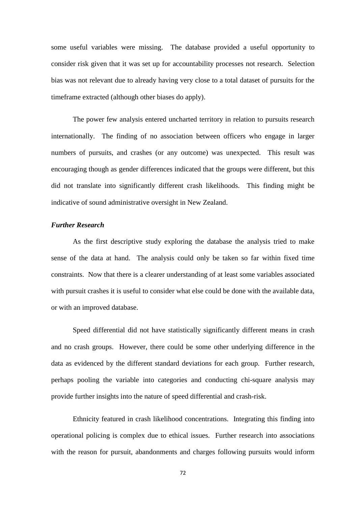some useful variables were missing. The database provided a useful opportunity to consider risk given that it was set up for accountability processes not research. Selection bias was not relevant due to already having very close to a total dataset of pursuits for the timeframe extracted (although other biases do apply).

The power few analysis entered uncharted territory in relation to pursuits research internationally. The finding of no association between officers who engage in larger numbers of pursuits, and crashes (or any outcome) was unexpected. This result was encouraging though as gender differences indicated that the groups were different, but this did not translate into significantly different crash likelihoods. This finding might be indicative of sound administrative oversight in New Zealand.

### *Further Research*

As the first descriptive study exploring the database the analysis tried to make sense of the data at hand. The analysis could only be taken so far within fixed time constraints. Now that there is a clearer understanding of at least some variables associated with pursuit crashes it is useful to consider what else could be done with the available data, or with an improved database.

Speed differential did not have statistically significantly different means in crash and no crash groups. However, there could be some other underlying difference in the data as evidenced by the different standard deviations for each group. Further research, perhaps pooling the variable into categories and conducting chi-square analysis may provide further insights into the nature of speed differential and crash-risk.

Ethnicity featured in crash likelihood concentrations. Integrating this finding into operational policing is complex due to ethical issues. Further research into associations with the reason for pursuit, abandonments and charges following pursuits would inform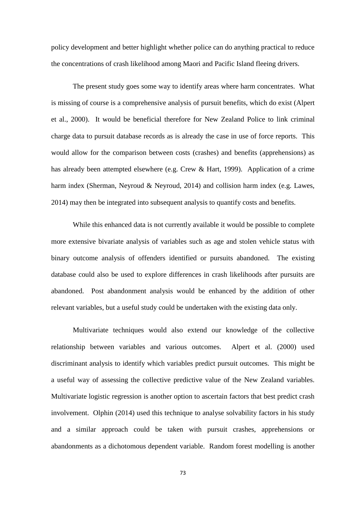policy development and better highlight whether police can do anything practical to reduce the concentrations of crash likelihood among Maori and Pacific Island fleeing drivers.

The present study goes some way to identify areas where harm concentrates. What is missing of course is a comprehensive analysis of pursuit benefits, which do exist (Alpert et al., 2000). It would be beneficial therefore for New Zealand Police to link criminal charge data to pursuit database records as is already the case in use of force reports. This would allow for the comparison between costs (crashes) and benefits (apprehensions) as has already been attempted elsewhere (e.g. Crew & Hart, 1999). Application of a crime harm index (Sherman, Neyroud & Neyroud, 2014) and collision harm index (e.g. Lawes, 2014) may then be integrated into subsequent analysis to quantify costs and benefits.

While this enhanced data is not currently available it would be possible to complete more extensive bivariate analysis of variables such as age and stolen vehicle status with binary outcome analysis of offenders identified or pursuits abandoned. The existing database could also be used to explore differences in crash likelihoods after pursuits are abandoned. Post abandonment analysis would be enhanced by the addition of other relevant variables, but a useful study could be undertaken with the existing data only.

Multivariate techniques would also extend our knowledge of the collective relationship between variables and various outcomes. Alpert et al. (2000) used discriminant analysis to identify which variables predict pursuit outcomes. This might be a useful way of assessing the collective predictive value of the New Zealand variables. Multivariate logistic regression is another option to ascertain factors that best predict crash involvement. Olphin (2014) used this technique to analyse solvability factors in his study and a similar approach could be taken with pursuit crashes, apprehensions or abandonments as a dichotomous dependent variable. Random forest modelling is another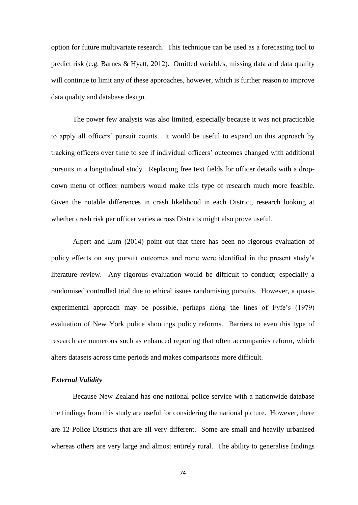option for future multivariate research. This technique can be used as a forecasting tool to predict risk (e.g. Barnes & Hyatt, 2012). Omitted variables, missing data and data quality will continue to limit any of these approaches, however, which is further reason to improve data quality and database design.

The power few analysis was also limited, especially because it was not practicable to apply all officers' pursuit counts. It would be useful to expand on this approach by tracking officers over time to see if individual officers' outcomes changed with additional pursuits in a longitudinal study. Replacing free text fields for officer details with a dropdown menu of officer numbers would make this type of research much more feasible. Given the notable differences in crash likelihood in each District, research looking at whether crash risk per officer varies across Districts might also prove useful.

Alpert and Lum (2014) point out that there has been no rigorous evaluation of policy effects on any pursuit outcomes and none were identified in the present study's literature review. Any rigorous evaluation would be difficult to conduct; especially a randomised controlled trial due to ethical issues randomising pursuits. However, a quasiexperimental approach may be possible, perhaps along the lines of Fyfe's (1979) evaluation of New York police shootings policy reforms. Barriers to even this type of research are numerous such as enhanced reporting that often accompanies reform, which alters datasets across time periods and makes comparisons more difficult.

### *External Validity*

Because New Zealand has one national police service with a nationwide database the findings from this study are useful for considering the national picture. However, there are 12 Police Districts that are all very different. Some are small and heavily urbanised whereas others are very large and almost entirely rural. The ability to generalise findings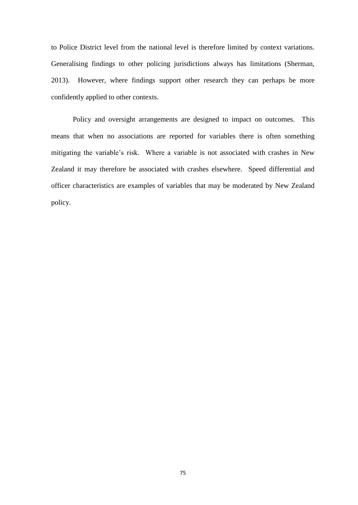to Police District level from the national level is therefore limited by context variations. Generalising findings to other policing jurisdictions always has limitations (Sherman, 2013). However, where findings support other research they can perhaps be more confidently applied to other contexts.

Policy and oversight arrangements are designed to impact on outcomes. This means that when no associations are reported for variables there is often something mitigating the variable's risk. Where a variable is not associated with crashes in New Zealand it may therefore be associated with crashes elsewhere. Speed differential and officer characteristics are examples of variables that may be moderated by New Zealand policy.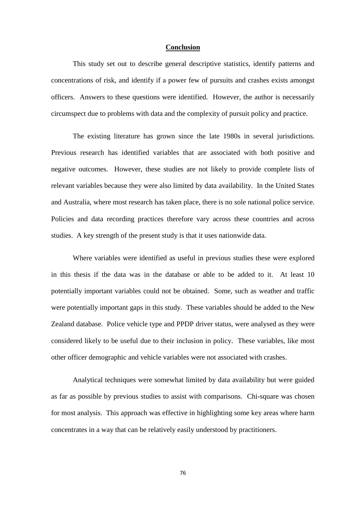#### **Conclusion**

This study set out to describe general descriptive statistics, identify patterns and concentrations of risk, and identify if a power few of pursuits and crashes exists amongst officers. Answers to these questions were identified. However, the author is necessarily circumspect due to problems with data and the complexity of pursuit policy and practice.

The existing literature has grown since the late 1980s in several jurisdictions. Previous research has identified variables that are associated with both positive and negative outcomes. However, these studies are not likely to provide complete lists of relevant variables because they were also limited by data availability. In the United States and Australia, where most research has taken place, there is no sole national police service. Policies and data recording practices therefore vary across these countries and across studies. A key strength of the present study is that it uses nationwide data.

Where variables were identified as useful in previous studies these were explored in this thesis if the data was in the database or able to be added to it. At least 10 potentially important variables could not be obtained. Some, such as weather and traffic were potentially important gaps in this study. These variables should be added to the New Zealand database. Police vehicle type and PPDP driver status, were analysed as they were considered likely to be useful due to their inclusion in policy. These variables, like most other officer demographic and vehicle variables were not associated with crashes.

Analytical techniques were somewhat limited by data availability but were guided as far as possible by previous studies to assist with comparisons. Chi-square was chosen for most analysis. This approach was effective in highlighting some key areas where harm concentrates in a way that can be relatively easily understood by practitioners.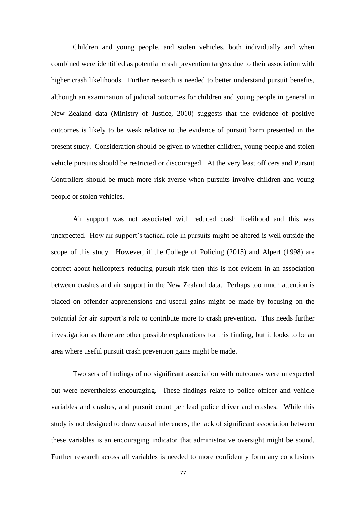Children and young people, and stolen vehicles, both individually and when combined were identified as potential crash prevention targets due to their association with higher crash likelihoods. Further research is needed to better understand pursuit benefits, although an examination of judicial outcomes for children and young people in general in New Zealand data (Ministry of Justice, 2010) suggests that the evidence of positive outcomes is likely to be weak relative to the evidence of pursuit harm presented in the present study. Consideration should be given to whether children, young people and stolen vehicle pursuits should be restricted or discouraged. At the very least officers and Pursuit Controllers should be much more risk-averse when pursuits involve children and young people or stolen vehicles.

Air support was not associated with reduced crash likelihood and this was unexpected. How air support's tactical role in pursuits might be altered is well outside the scope of this study. However, if the College of Policing (2015) and Alpert (1998) are correct about helicopters reducing pursuit risk then this is not evident in an association between crashes and air support in the New Zealand data. Perhaps too much attention is placed on offender apprehensions and useful gains might be made by focusing on the potential for air support's role to contribute more to crash prevention. This needs further investigation as there are other possible explanations for this finding, but it looks to be an area where useful pursuit crash prevention gains might be made.

Two sets of findings of no significant association with outcomes were unexpected but were nevertheless encouraging. These findings relate to police officer and vehicle variables and crashes, and pursuit count per lead police driver and crashes. While this study is not designed to draw causal inferences, the lack of significant association between these variables is an encouraging indicator that administrative oversight might be sound. Further research across all variables is needed to more confidently form any conclusions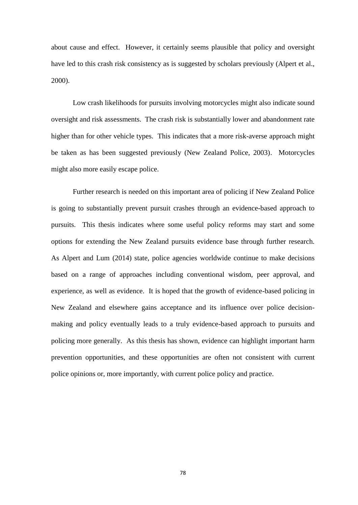about cause and effect. However, it certainly seems plausible that policy and oversight have led to this crash risk consistency as is suggested by scholars previously (Alpert et al., 2000).

Low crash likelihoods for pursuits involving motorcycles might also indicate sound oversight and risk assessments. The crash risk is substantially lower and abandonment rate higher than for other vehicle types. This indicates that a more risk-averse approach might be taken as has been suggested previously (New Zealand Police, 2003). Motorcycles might also more easily escape police.

Further research is needed on this important area of policing if New Zealand Police is going to substantially prevent pursuit crashes through an evidence-based approach to pursuits. This thesis indicates where some useful policy reforms may start and some options for extending the New Zealand pursuits evidence base through further research. As Alpert and Lum (2014) state, police agencies worldwide continue to make decisions based on a range of approaches including conventional wisdom, peer approval, and experience, as well as evidence. It is hoped that the growth of evidence-based policing in New Zealand and elsewhere gains acceptance and its influence over police decisionmaking and policy eventually leads to a truly evidence-based approach to pursuits and policing more generally. As this thesis has shown, evidence can highlight important harm prevention opportunities, and these opportunities are often not consistent with current police opinions or, more importantly, with current police policy and practice.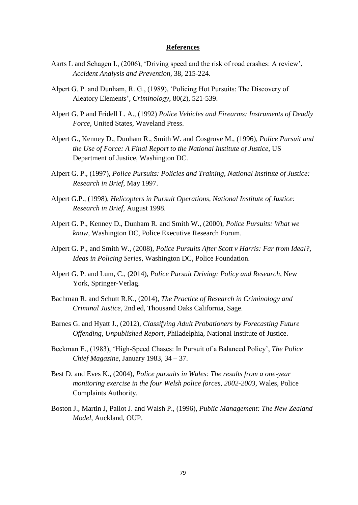## **References**

- Aarts L and Schagen I., (2006), 'Driving speed and the risk of road crashes: A review', *Accident Analysis and Prevention*, 38, 215-224.
- Alpert G. P. and Dunham, R. G., (1989), 'Policing Hot Pursuits: The Discovery of Aleatory Elements'*, Criminology*, 80(2), 521-539.
- Alpert G. P and Fridell L. A., (1992) *Police Vehicles and Firearms: Instruments of Deadly Force*, United States, Waveland Press.
- Alpert G., Kenney D., Dunham R., Smith W. and Cosgrove M., (1996), *Police Pursuit and the Use of Force: A Final Report to the National Institute of Justice*, US Department of Justice, Washington DC.
- Alpert G. P., (1997), *Police Pursuits: Policies and Training, National Institute of Justice: Research in Brief*, May 1997.
- Alpert G.P., (1998), *Helicopters in Pursuit Operations, National Institute of Justice: Research in Brief,* August 1998.
- Alpert G. P., Kenney D., Dunham R. and Smith W., (2000), *Police Pursuits: What we know*, Washington DC, Police Executive Research Forum.
- Alpert G. P., and Smith W., (2008), *Police Pursuits After Scott v Harris: Far from Ideal?, Ideas in Policing Series*, Washington DC, Police Foundation.
- Alpert G. P. and Lum, C., (2014), *Police Pursuit Driving: Policy and Research*, New York, Springer-Verlag.
- Bachman R. and Schutt R.K., (2014), *The Practice of Research in Criminology and Criminal Justice*, 2nd ed, Thousand Oaks California, Sage.
- Barnes G. and Hyatt J., (2012), *Classifying Adult Probationers by Forecasting Future Offending, Unpublished Report*, Philadelphia, National Institute of Justice.
- Beckman E., (1983), 'High-Speed Chases: In Pursuit of a Balanced Policy', *The Police Chief Magazine,* January 1983, 34 – 37.
- Best D. and Eves K., (2004), *Police pursuits in Wales: The results from a one-year monitoring exercise in the four Welsh police forces, 2002-2003,* Wales, Police Complaints Authority.
- Boston J., Martin J, Pallot J. and Walsh P., (1996), *Public Management: The New Zealand Model*, Auckland, OUP.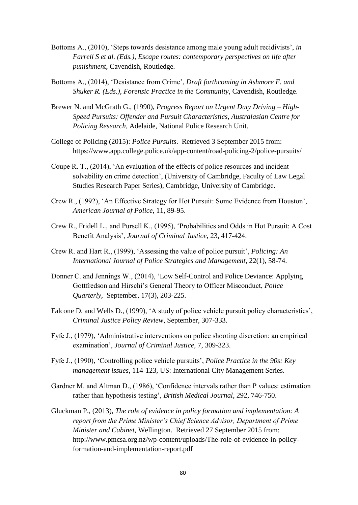- Bottoms A., (2010), 'Steps towards desistance among male young adult recidivists', *in Farrell S et al. (Eds.), Escape routes: contemporary perspectives on life after punishment*, Cavendish, Routledge.
- Bottoms A., (2014), 'Desistance from Crime', *Draft forthcoming in Ashmore F. and Shuker R. (Eds.), Forensic Practice in the Community*, Cavendish, Routledge.
- Brewer N. and McGrath G., (1990), *Progress Report on Urgent Duty Driving – High-Speed Pursuits: Offender and Pursuit Characteristics, Australasian Centre for Policing Research,* Adelaide, National Police Research Unit.
- College of Policing (2015): *Police Pursuits*. Retrieved 3 September 2015 from: https://www.app.college.police.uk/app-content/road-policing-2/police-pursuits/
- Coupe R. T., (2014), 'An evaluation of the effects of police resources and incident solvability on crime detection', (University of Cambridge, Faculty of Law Legal Studies Research Paper Series), Cambridge, University of Cambridge.
- Crew R., (1992), 'An Effective Strategy for Hot Pursuit: Some Evidence from Houston', *American Journal of Police*, 11, 89-95.
- Crew R., Fridell L., and Pursell K., (1995), 'Probabilities and Odds in Hot Pursuit: A Cost Benefit Analysis', *Journal of Criminal Justice*, 23, 417-424.
- Crew R. and Hart R., (1999), 'Assessing the value of police pursuit', *Policing: An International Journal of Police Strategies and Management*, 22(1), 58-74.
- Donner C. and Jennings W., (2014), 'Low Self-Control and Police Deviance: Applying Gottfredson and Hirschi's General Theory to Officer Misconduct, *Police Quarterly,* September, 17(3), 203-225.
- Falcone D. and Wells D., (1999), 'A study of police vehicle pursuit policy characteristics', *Criminal Justice Policy Review*, September, 307-333.
- Fyfe J., (1979), 'Administrative interventions on police shooting discretion: an empirical examination', *Journal of Criminal Justice*, 7, 309-323.
- Fyfe J., (1990), 'Controlling police vehicle pursuits', *Police Practice in the 90s: Key management issues*, 114-123, US: International City Management Series.
- Gardner M. and Altman D., (1986), 'Confidence intervals rather than P values: estimation rather than hypothesis testing', *British Medical Journal*, 292, 746-750.
- Gluckman P., (2013), *The role of evidence in policy formation and implementation: A report from the Prime Minister's Chief Science Advisor, Department of Prime Minister and Cabinet,* Wellington. Retrieved 27 September 2015 from: [http://www.pmcsa.org.nz/wp-content/uploads/The-role-of-evidence-in-policy](http://www.pmcsa.org.nz/wp-content/uploads/The-role-of-evidence-in-policy-formation-and-implementation-report.pdf)[formation-and-implementation-report.pdf](http://www.pmcsa.org.nz/wp-content/uploads/The-role-of-evidence-in-policy-formation-and-implementation-report.pdf)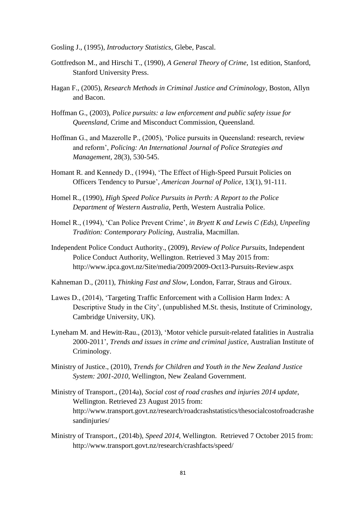Gosling J., (1995), *Introductory Statistics*, Glebe, Pascal.

- Gottfredson M., and Hirschi T., (1990), *A General Theory of Crime*, 1st edition, Stanford, Stanford University Press.
- Hagan F., (2005), *Research Methods in Criminal Justice and Criminology*, Boston, Allyn and Bacon.
- Hoffman G., (2003), *Police pursuits: a law enforcement and public safety issue for Queensland,* Crime and Misconduct Commission, Queensland.
- Hoffman G., and Mazerolle P., (2005), 'Police pursuits in Queensland: research, review and reform', *Policing: An International Journal of Police Strategies and Management*, 28(3), 530-545.
- Homant R. and Kennedy D., (1994), 'The Effect of High-Speed Pursuit Policies on Officers Tendency to Pursue', *American Journal of Police*, 13(1), 91-111.
- Homel R., (1990), *High Speed Police Pursuits in Perth: A Report to the Police Department of Western Australia*, Perth, Western Australia Police.
- Homel R., (1994), 'Can Police Prevent Crime', *in Bryett K and Lewis C (Eds), Unpeeling Tradition: Contemporary Policing*, Australia, Macmillan.
- Independent Police Conduct Authority., (2009), *Review of Police Pursuits*, Independent Police Conduct Authority, Wellington. Retrieved 3 May 2015 from: <http://www.ipca.govt.nz/Site/media/2009/2009-Oct13-Pursuits-Review.aspx>
- Kahneman D., (2011), *Thinking Fast and Slow*, London, Farrar, Straus and Giroux.
- Lawes D., (2014), 'Targeting Traffic Enforcement with a Collision Harm Index: A Descriptive Study in the City', (unpublished M.St. thesis, Institute of Criminology, Cambridge University, UK).
- Lyneham M. and Hewitt-Rau., (2013), 'Motor vehicle pursuit-related fatalities in Australia 2000-2011', *Trends and issues in crime and criminal justice,* Australian Institute of Criminology.
- Ministry of Justice., (2010), *Trends for Children and Youth in the New Zealand Justice System: 2001-2010*, Wellington, New Zealand Government.
- Ministry of Transport., (2014a), *Social cost of road crashes and injuries 2014 update*, Wellington. Retrieved 23 August 2015 from: [http://www.transport.govt.nz/research/roadcrashstatistics/thesocialcostofroadcrashe](http://www.transport.govt.nz/research/roadcrashstatistics/thesocialcostofroadcrashesandinjuries/) [sandinjuries/](http://www.transport.govt.nz/research/roadcrashstatistics/thesocialcostofroadcrashesandinjuries/)
- Ministry of Transport., (2014b), *Speed 2014*, Wellington. Retrieved 7 October 2015 from: <http://www.transport.govt.nz/research/crashfacts/speed/>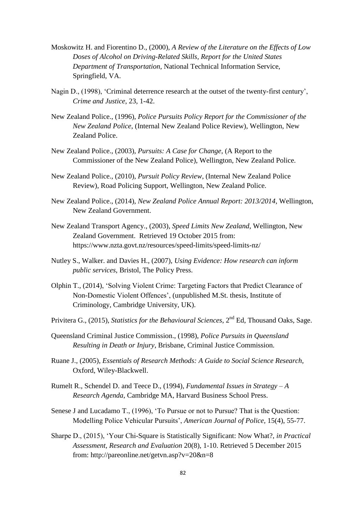- Moskowitz H. and Fiorentino D., (2000), *A Review of the Literature on the Effects of Low Doses of Alcohol on Driving-Related Skills, Report for the United States Department of Transportation*, National Technical Information Service, Springfield, VA.
- Nagin D., (1998), 'Criminal deterrence research at the outset of the twenty-first century', *Crime and Justice*, 23, 1-42.
- New Zealand Police., (1996), *Police Pursuits Policy Report for the Commissioner of the New Zealand Police*, (Internal New Zealand Police Review), Wellington, New Zealand Police.
- New Zealand Police., (2003), *Pursuits: A Case for Change*, (A Report to the Commissioner of the New Zealand Police), Wellington, New Zealand Police.
- New Zealand Police., (2010), *Pursuit Policy Review*, (Internal New Zealand Police Review)*,* Road Policing Support, Wellington, New Zealand Police.
- New Zealand Police., (2014), *New Zealand Police Annual Report: 2013/2014*, Wellington, New Zealand Government.
- New Zealand Transport Agency., (2003), *Speed Limits New Zealand*, Wellington, New Zealand Government. Retrieved 19 October 2015 from: <https://www.nzta.govt.nz/resources/speed-limits/speed-limits-nz/>
- Nutley S., Walker. and Davies H., (2007), *Using Evidence: How research can inform public services*, Bristol, The Policy Press.
- Olphin T., (2014), 'Solving Violent Crime: Targeting Factors that Predict Clearance of Non-Domestic Violent Offences', (unpublished M.St. thesis, Institute of Criminology, Cambridge University, UK).
- Privitera G., (2015), *Statistics for the Behavioural Sciences*, 2nd Ed, Thousand Oaks, Sage.
- Queensland Criminal Justice Commission., (1998), *Police Pursuits in Queensland Resulting in Death or Injury*, Brisbane, Criminal Justice Commission.
- Ruane J., (2005), *Essentials of Research Methods: A Guide to Social Science Research,*  Oxford, Wiley-Blackwell.
- Rumelt R., Schendel D. and Teece D., (1994), *Fundamental Issues in Strategy – A Research Agenda*, Cambridge MA, Harvard Business School Press.
- Senese J and Lucadamo T., (1996), 'To Pursue or not to Pursue? That is the Question: Modelling Police Vehicular Pursuits', *American Journal of Police,* 15(4), 55-77.
- Sharpe D., (2015), 'Your Chi-Square is Statistically Significant: Now What?, *in Practical Assessment, Research and Evaluation* 20(8), 1-10. Retrieved 5 December 2015 from: http://pareonline.net/getvn.asp?v=20&n=8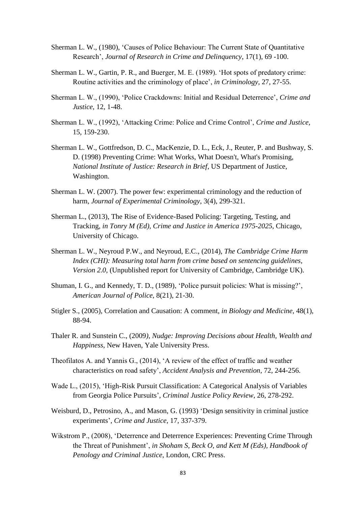- Sherman L. W., (1980), 'Causes of Police Behaviour: The Current State of Quantitative Research', *Journal of Research in Crime and Delinquency*, 17(1), 69 -100.
- Sherman L. W., Gartin, P. R., and Buerger, M. E. (1989). 'Hot spots of predatory crime: Routine activities and the criminology of place', *in Criminology*, 27, 27-55.
- Sherman L. W., (1990), 'Police Crackdowns: Initial and Residual Deterrence', *Crime and Justice*, 12, 1-48.
- Sherman L. W., (1992), 'Attacking Crime: Police and Crime Control', *Crime and Justice*, 15, 159-230.
- Sherman L. W., Gottfredson, D. C., MacKenzie, D. L., Eck, J., Reuter, P. and Bushway, S. D. (1998) Preventing Crime: What Works, What Doesn't, What's Promising, *National Institute of Justice: Research in Brief*, US Department of Justice, Washington.
- Sherman L. W. (2007). The power few: experimental criminology and the reduction of harm, *Journal of Experimental Criminology*, 3(4), 299-321.
- Sherman L., (2013), The Rise of Evidence-Based Policing: Targeting, Testing, and Tracking, *in Tonry M (Ed), Crime and Justice in America 1975-2025*, Chicago, University of Chicago.
- Sherman L. W., Neyroud P.W., and Neyroud, E.C., (2014), *The Cambridge Crime Harm Index (CHI): Measuring total harm from crime based on sentencing guidelines, Version 2.0*, (Unpublished report for University of Cambridge, Cambridge UK).
- Shuman, I. G., and Kennedy, T. D., (1989), 'Police pursuit policies: What is missing?', *American Journal of Police*, 8(21), 21-30.
- Stigler S., (2005), Correlation and Causation: A comment, *in Biology and Medicine*, 48(1), 88-94.
- Thaler R. and Sunstein C., (2009*), Nudge: Improving Decisions about Health, Wealth and Happiness*, New Haven, Yale University Press.
- Theofilatos A. and Yannis G., (2014), 'A review of the effect of traffic and weather characteristics on road safety', *Accident Analysis and Prevention*, 72, 244-256.
- Wade L., (2015), 'High-Risk Pursuit Classification: A Categorical Analysis of Variables from Georgia Police Pursuits', *Criminal Justice Policy Review*, 26, 278-292.
- Weisburd, D., Petrosino, A., and Mason, G. (1993) 'Design sensitivity in criminal justice experiments', *Crime and Justice*, 17, 337-379.
- Wikstrom P., (2008), 'Deterrence and Deterrence Experiences: Preventing Crime Through the Threat of Punishment', *in Shoham S, Beck O, and Kett M (Eds), Handbook of Penology and Criminal Justice*, London, CRC Press.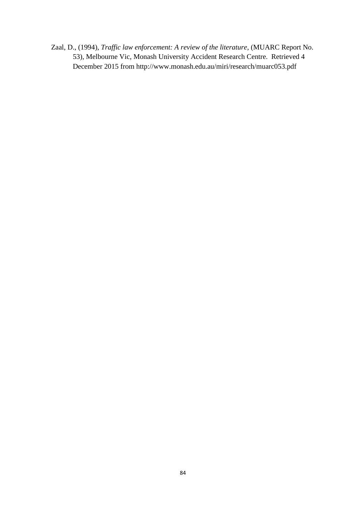Zaal, D., (1994), *Traffic law enforcement: A review of the literature*, (MUARC Report No. 53), Melbourne Vic, Monash University Accident Research Centre. Retrieved 4 December 2015 from http://www.monash.edu.au/miri/research/muarc053.pdf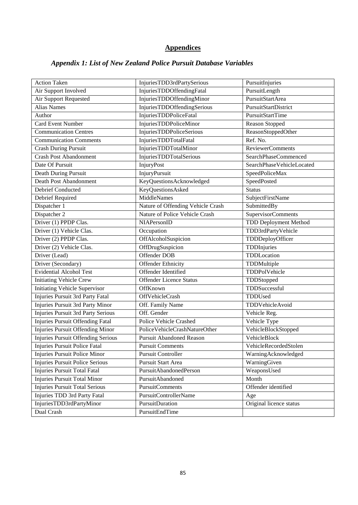# **Appendices**

# *Appendix 1: List of New Zealand Police Pursuit Database Variables*

| <b>Action Taken</b>                   | InjuriesTDD3rdPartySerious        | PursuitInjuries              |
|---------------------------------------|-----------------------------------|------------------------------|
| Air Support Involved                  | InjuriesTDDOffendingFatal         | PursuitLength                |
| Air Support Requested                 | InjuriesTDDOffendingMinor         | PursuitStartArea             |
| <b>Alias Names</b>                    | InjuriesTDDOffendingSerious       | PursuitStartDistrict         |
| Author                                | InjuriesTDDPoliceFatal            | PursuitStartTime             |
| <b>Card Event Number</b>              | InjuriesTDDPoliceMinor            | Reason Stopped               |
| <b>Communication Centres</b>          | <b>InjuriesTDDPoliceSerious</b>   | ReasonStoppedOther           |
| <b>Communication Comments</b>         | InjuriesTDDTotalFatal             | Ref. No.                     |
| Crash During Pursuit                  | InjuriesTDDTotalMinor             | <b>ReviewerComments</b>      |
| <b>Crash Post Abandonment</b>         | InjuriesTDDTotalSerious           | SearchPhaseCommenced         |
| Date Of Pursuit                       | InjuryPost                        | SearchPhaseVehicleLocated    |
| Death During Pursuit                  | InjuryPursuit                     | SpeedPoliceMax               |
| Death Post Abandonment                | KeyQuestionsAcknowledged          | SpeedPosted                  |
| <b>Debrief Conducted</b>              | KeyQuestionsAsked                 | <b>Status</b>                |
| Debrief Required                      | MiddleNames                       | <b>SubjectFirstName</b>      |
| Dispatcher 1                          | Nature of Offending Vehicle Crash | SubmittedBy                  |
| Dispatcher 2                          | Nature of Police Vehicle Crash    | SupervisorComments           |
| Driver (1) PPDP Clas.                 | NIAPersonID                       | <b>TDD Deployment Method</b> |
| Driver (1) Vehicle Clas.              | Occupation                        | TDD3rdPartyVehicle           |
| Driver (2) PPDP Clas.                 | OffAlcoholSuspicion               | TDDDeployOfficer             |
| Driver (2) Vehicle Clas.              | OffDrugSuspicion                  | TDDInjuries                  |
| Driver (Lead)                         | Offender DOB                      | TDDLocation                  |
| Driver (Secondary)                    | Offender Ethnicity                | TDDMultiple                  |
| <b>Evidential Alcohol Test</b>        | Offender Identified               | TDDPolVehicle                |
| <b>Initiating Vehicle Crew</b>        | <b>Offender Licence Status</b>    | TDDStopped                   |
| <b>Initiating Vehicle Supervisor</b>  | OffKnown                          | TDDSuccessful                |
| Injuries Pursuit 3rd Party Fatal      | OffVehicleCrash                   | TDDUsed                      |
| Injuries Pursuit 3rd Party Minor      | Off. Family Name                  | TDDVehicleAvoid              |
| Injuries Pursuit 3rd Party Serious    | Off. Gender                       | Vehicle Reg.                 |
| Injuries Pursuit Offending Fatal      | Police Vehicle Crashed            | Vehicle Type                 |
| Injuries Pursuit Offending Minor      | PoliceVehicleCrashNatureOther     | VehicleBlockStopped          |
| Injuries Pursuit Offending Serious    | <b>Pursuit Abandoned Reason</b>   | VehicleBlock                 |
| Injuries Pursuit Police Fatal         | <b>Pursuit Comments</b>           | VehicleRecordedStolen        |
| Injuries Pursuit Police Minor         | Pursuit Controller                | WarningAcknowledged          |
| Injuries Pursuit Police Serious       | Pursuit Start Area                | WarningGiven                 |
| <b>Injuries Pursuit Total Fatal</b>   | PursuitAbandonedPerson            | WeaponsUsed                  |
| <b>Injuries Pursuit Total Minor</b>   | PursuitAbandoned                  | Month                        |
| <b>Injuries Pursuit Total Serious</b> | <b>PursuitComments</b>            | Offender identified          |
| Injuries TDD 3rd Party Fatal          | <b>PursuitControllerName</b>      | Age                          |
| InjuriesTDD3rdPartyMinor              | PursuitDuration                   | Original licence status      |
| Dual Crash                            | PursuitEndTime                    |                              |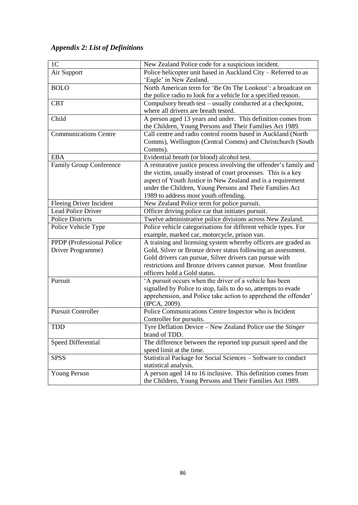# *Appendix 2: List of Definitions*

| 1 <sub>C</sub>                 | New Zealand Police code for a suspicious incident.                |  |
|--------------------------------|-------------------------------------------------------------------|--|
| Air Support                    | Police helicopter unit based in Auckland City - Referred to as    |  |
|                                | 'Eagle' in New Zealand.                                           |  |
| <b>BOLO</b>                    | North American term for 'Be On The Lookout': a broadcast on       |  |
|                                | the police radio to look for a vehicle for a specified reason.    |  |
| <b>CBT</b>                     | Compulsory breath test – usually conducted at a checkpoint,       |  |
|                                | where all drivers are breath tested.                              |  |
| Child                          | A person aged 13 years and under. This definition comes from      |  |
|                                | the Children, Young Persons and Their Families Act 1989.          |  |
| <b>Communications Centre</b>   | Call centre and radio control rooms based in Auckland (North      |  |
|                                | Comms), Wellington (Central Comms) and Christchurch (South        |  |
|                                | Comms).                                                           |  |
| <b>EBA</b>                     | Evidential breath (or blood) alcohol test.                        |  |
| <b>Family Group Conference</b> | A restorative justice process involving the offender's family and |  |
|                                | the victim, usually instead of court processes. This is a key     |  |
|                                | aspect of Youth Justice in New Zealand and is a requirement       |  |
|                                | under the Children, Young Persons and Their Families Act          |  |
|                                | 1989 to address most youth offending.                             |  |
| <b>Fleeing Driver Incident</b> | New Zealand Police term for police pursuit.                       |  |
| <b>Lead Police Driver</b>      | Officer driving police car that initiates pursuit.                |  |
| <b>Police Districts</b>        | Twelve administrative police divisions across New Zealand.        |  |
| Police Vehicle Type            | Police vehicle categorisations for different vehicle types. For   |  |
|                                | example, marked car, motorcycle, prison van.                      |  |
| PPDP (Professional Police      | A training and licensing system whereby officers are graded as    |  |
| Driver Programme)              | Gold, Silver or Bronze driver status following an assessment.     |  |
|                                | Gold drivers can pursue, Silver drivers can pursue with           |  |
|                                | restrictions and Bronze drivers cannot pursue. Most frontline     |  |
|                                | officers hold a Gold status.                                      |  |
| Pursuit                        | 'A pursuit occurs when the driver of a vehicle has been           |  |
|                                | signalled by Police to stop, fails to do so, attempts to evade    |  |
|                                | apprehension, and Police take action to apprehend the offender'   |  |
|                                | (IPCA, 2009).                                                     |  |
| <b>Pursuit Controller</b>      | Police Communications Centre Inspector who is Incident            |  |
|                                | Controller for pursuits.                                          |  |
| <b>TDD</b>                     | Tyre Deflation Device - New Zealand Police use the Stinger        |  |
|                                | brand of TDD.                                                     |  |
| Speed Differential             | The difference between the reported top pursuit speed and the     |  |
|                                | speed limit at the time.                                          |  |
| <b>SPSS</b>                    | Statistical Package for Social Sciences - Software to conduct     |  |
|                                | statistical analysis.                                             |  |
| <b>Young Person</b>            | A person aged 14 to 16 inclusive. This definition comes from      |  |
|                                | the Children, Young Persons and Their Families Act 1989.          |  |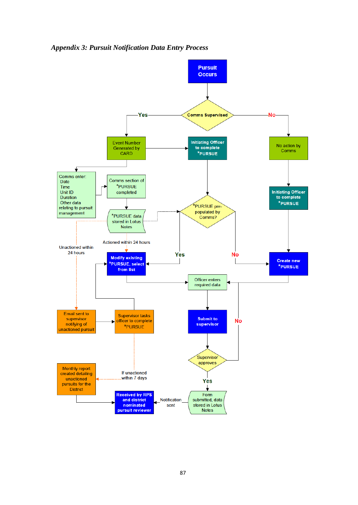*Appendix 3: Pursuit Notification Data Entry Process*